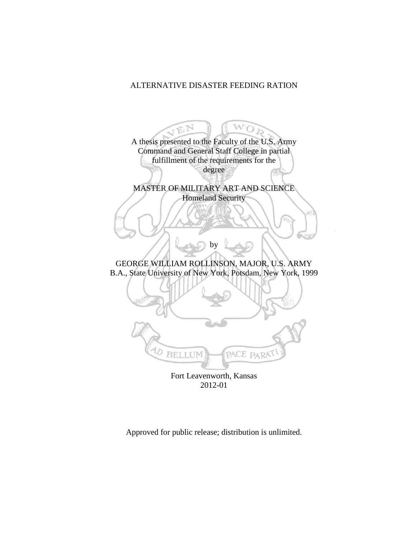# ALTERNATIVE DISASTER FEEDING RATION

 $\mathfrak{B}^{\mathbf{N}}$ W  $\overline{O}$ A thesis presented to the Faculty of the U.S. Army Command and General Staff College in partial fulfillment of the requirements for the degree MASTER OF MILITARY ART AND SCIENCE Homeland Security by GEORGE WILLIAM ROLLINSON, MAJOR, U.S. ARMY B.A., State University of New York, Potsdam, New York, 1999  $\overline{\mathcal{A}_{D}}$ **BELLUM** PACE PARAT Fort Leavenworth, Kansas 2012-01

Approved for public release; distribution is unlimited.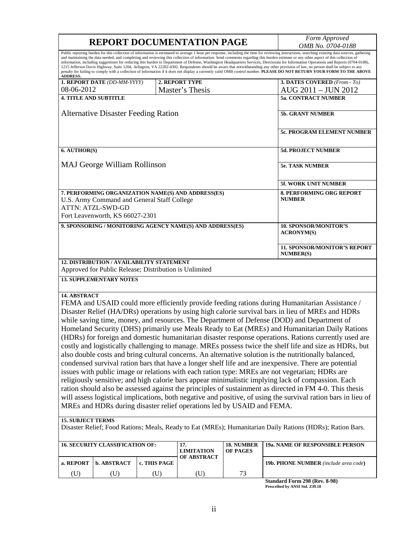| <b>REPORT DOCUMENTATION PAGE</b>                                                                                                                                                                                                                                                                                   |              |                          | Form Approved<br>OMB No. 0704-0188                |                                                                                                                                                                                                                                                                                                                                                                                                                                                                                                                                                                                                                                                                                                                                                                                                                                                                                                                                                                                                                                                                                                                                                                                           |
|--------------------------------------------------------------------------------------------------------------------------------------------------------------------------------------------------------------------------------------------------------------------------------------------------------------------|--------------|--------------------------|---------------------------------------------------|-------------------------------------------------------------------------------------------------------------------------------------------------------------------------------------------------------------------------------------------------------------------------------------------------------------------------------------------------------------------------------------------------------------------------------------------------------------------------------------------------------------------------------------------------------------------------------------------------------------------------------------------------------------------------------------------------------------------------------------------------------------------------------------------------------------------------------------------------------------------------------------------------------------------------------------------------------------------------------------------------------------------------------------------------------------------------------------------------------------------------------------------------------------------------------------------|
| <b>ADDRESS.</b>                                                                                                                                                                                                                                                                                                    |              |                          |                                                   | Public reporting burden for this collection of information is estimated to average 1 hour per response, including the time for reviewing instructions, searching existing data sources, gathering<br>and maintaining the data needed, and completing and reviewing this collection of information. Send comments regarding this burden estimate or any other aspect of this collection of<br>information, including suggestions for reducing this burden to Department of Defense, Washington Headquarters Services, Directorate for Information Operations and Reports (0704-0188),<br>1215 Jefferson Davis Highway, Suite 1204, Arlington, VA 22202-4302. Respondents should be aware that notwithstanding any other provision of law, no person shall be subject to any<br>penalty for failing to comply with a collection of information if it does not display a currently valid OMB control number. PLEASE DO NOT RETURN YOUR FORM TO THE ABOVE                                                                                                                                                                                                                                     |
| 1. REPORT DATE (DD-MM-YYYY)                                                                                                                                                                                                                                                                                        |              | 2. REPORT TYPE           |                                                   | 3. DATES COVERED (From - To)                                                                                                                                                                                                                                                                                                                                                                                                                                                                                                                                                                                                                                                                                                                                                                                                                                                                                                                                                                                                                                                                                                                                                              |
| 08-06-2012                                                                                                                                                                                                                                                                                                         |              | Master's Thesis          |                                                   | AUG 2011 - JUN 2012                                                                                                                                                                                                                                                                                                                                                                                                                                                                                                                                                                                                                                                                                                                                                                                                                                                                                                                                                                                                                                                                                                                                                                       |
| <b>4. TITLE AND SUBTITLE</b>                                                                                                                                                                                                                                                                                       |              |                          |                                                   | <b>5a. CONTRACT NUMBER</b>                                                                                                                                                                                                                                                                                                                                                                                                                                                                                                                                                                                                                                                                                                                                                                                                                                                                                                                                                                                                                                                                                                                                                                |
| <b>Alternative Disaster Feeding Ration</b>                                                                                                                                                                                                                                                                         |              |                          | <b>5b. GRANT NUMBER</b>                           |                                                                                                                                                                                                                                                                                                                                                                                                                                                                                                                                                                                                                                                                                                                                                                                                                                                                                                                                                                                                                                                                                                                                                                                           |
|                                                                                                                                                                                                                                                                                                                    |              |                          |                                                   | <b>5c. PROGRAM ELEMENT NUMBER</b>                                                                                                                                                                                                                                                                                                                                                                                                                                                                                                                                                                                                                                                                                                                                                                                                                                                                                                                                                                                                                                                                                                                                                         |
| 6. AUTHOR(S)                                                                                                                                                                                                                                                                                                       |              |                          |                                                   | 5d. PROJECT NUMBER                                                                                                                                                                                                                                                                                                                                                                                                                                                                                                                                                                                                                                                                                                                                                                                                                                                                                                                                                                                                                                                                                                                                                                        |
| <b>MAJ George William Rollinson</b>                                                                                                                                                                                                                                                                                |              |                          | <b>5e. TASK NUMBER</b>                            |                                                                                                                                                                                                                                                                                                                                                                                                                                                                                                                                                                                                                                                                                                                                                                                                                                                                                                                                                                                                                                                                                                                                                                                           |
|                                                                                                                                                                                                                                                                                                                    |              |                          |                                                   | 5f. WORK UNIT NUMBER                                                                                                                                                                                                                                                                                                                                                                                                                                                                                                                                                                                                                                                                                                                                                                                                                                                                                                                                                                                                                                                                                                                                                                      |
| 7. PERFORMING ORGANIZATION NAME(S) AND ADDRESS(ES)<br>U.S. Army Command and General Staff College<br><b>ATTN: ATZL-SWD-GD</b>                                                                                                                                                                                      |              |                          |                                                   | <b>8. PERFORMING ORG REPORT</b><br><b>NUMBER</b>                                                                                                                                                                                                                                                                                                                                                                                                                                                                                                                                                                                                                                                                                                                                                                                                                                                                                                                                                                                                                                                                                                                                          |
| Fort Leavenworth, KS 66027-2301                                                                                                                                                                                                                                                                                    |              |                          |                                                   |                                                                                                                                                                                                                                                                                                                                                                                                                                                                                                                                                                                                                                                                                                                                                                                                                                                                                                                                                                                                                                                                                                                                                                                           |
| 9. SPONSORING / MONITORING AGENCY NAME(S) AND ADDRESS(ES)                                                                                                                                                                                                                                                          |              |                          | <b>10. SPONSOR/MONITOR'S</b><br><b>ACRONYM(S)</b> |                                                                                                                                                                                                                                                                                                                                                                                                                                                                                                                                                                                                                                                                                                                                                                                                                                                                                                                                                                                                                                                                                                                                                                                           |
|                                                                                                                                                                                                                                                                                                                    |              |                          |                                                   | <b>11. SPONSOR/MONITOR'S REPORT</b><br><b>NUMBER(S)</b>                                                                                                                                                                                                                                                                                                                                                                                                                                                                                                                                                                                                                                                                                                                                                                                                                                                                                                                                                                                                                                                                                                                                   |
| <b>12. DISTRIBUTION / AVAILABILITY STATEMENT</b><br>Approved for Public Release; Distribution is Unlimited                                                                                                                                                                                                         |              |                          |                                                   |                                                                                                                                                                                                                                                                                                                                                                                                                                                                                                                                                                                                                                                                                                                                                                                                                                                                                                                                                                                                                                                                                                                                                                                           |
| <b>13. SUPPLEMENTARY NOTES</b>                                                                                                                                                                                                                                                                                     |              |                          |                                                   |                                                                                                                                                                                                                                                                                                                                                                                                                                                                                                                                                                                                                                                                                                                                                                                                                                                                                                                                                                                                                                                                                                                                                                                           |
| 14. ABSTRACT<br>while saving time, money, and resources. The Department of Defense (DOD) and Department of<br>issues with public image or relations with each ration type: MREs are not vegetarian; HDRs are<br>MREs and HDRs during disaster relief operations led by USAID and FEMA.<br><b>15. SUBJECT TERMS</b> |              |                          |                                                   | FEMA and USAID could more efficiently provide feeding rations during Humanitarian Assistance /<br>Disaster Relief (HA/DRs) operations by using high calorie survival bars in lieu of MREs and HDRs<br>Homeland Security (DHS) primarily use Meals Ready to Eat (MREs) and Humanitarian Daily Rations<br>(HDRs) for foreign and domestic humanitarian disaster response operations. Rations currently used are<br>costly and logistically challenging to manage. MREs possess twice the shelf life and size as HDRs, but<br>also double costs and bring cultural concerns. An alternative solution is the nutritionally balanced,<br>condensed survival ration bars that have a longer shelf life and are inexpensive. There are potential<br>religiously sensitive; and high calorie bars appear minimalistic implying lack of compassion. Each<br>ration should also be assessed against the principles of sustainment as directed in FM 4-0. This thesis<br>will assess logistical implications, both negative and positive, of using the survival ration bars in lieu of<br>Disaster Relief; Food Rations; Meals, Ready to Eat (MREs); Humanitarian Daily Rations (HDRs); Ration Bars. |
| <b>16. SECURITY CLASSIFICATION OF:</b>                                                                                                                                                                                                                                                                             |              | 17.<br><b>LIMITATION</b> | 18. NUMBER<br>OF PAGES                            | 19a. NAME OF RESPONSIBLE PERSON                                                                                                                                                                                                                                                                                                                                                                                                                                                                                                                                                                                                                                                                                                                                                                                                                                                                                                                                                                                                                                                                                                                                                           |
| b. ABSTRACT<br>a. REPORT                                                                                                                                                                                                                                                                                           | c. THIS PAGE | OF ABSTRACT              |                                                   | <b>19b. PHONE NUMBER</b> (include area code)                                                                                                                                                                                                                                                                                                                                                                                                                                                                                                                                                                                                                                                                                                                                                                                                                                                                                                                                                                                                                                                                                                                                              |

**Standard Form 298 (Rev. 8-98) Prescribed by ANSI Std. Z39.18**

(U) (U) (U) (U) 73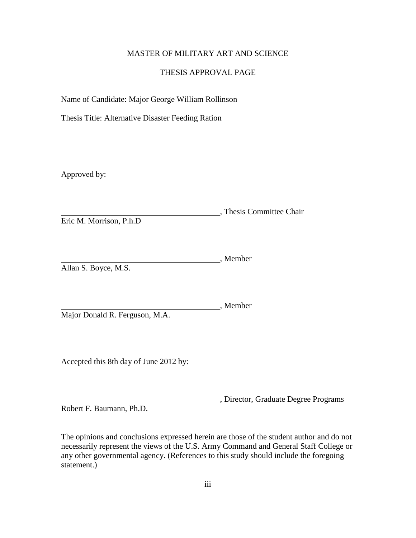# MASTER OF MILITARY ART AND SCIENCE

# THESIS APPROVAL PAGE

Name of Candidate: Major George William Rollinson

Thesis Title: Alternative Disaster Feeding Ration

Approved by:

, Thesis Committee Chair Eric M. Morrison, P.h.D

, Member Allan S. Boyce, M.S.

, Member Major Donald R. Ferguson, M.A.

Accepted this 8th day of June 2012 by:

, Director, Graduate Degree Programs

Robert F. Baumann, Ph.D.

The opinions and conclusions expressed herein are those of the student author and do not necessarily represent the views of the U.S. Army Command and General Staff College or any other governmental agency. (References to this study should include the foregoing statement.)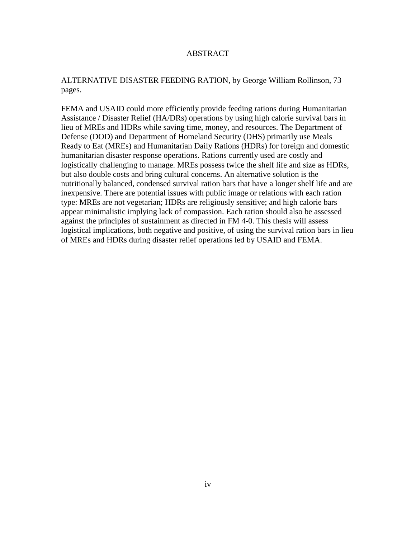# ABSTRACT

# ALTERNATIVE DISASTER FEEDING RATION, by George William Rollinson, 73 pages.

FEMA and USAID could more efficiently provide feeding rations during Humanitarian Assistance / Disaster Relief (HA/DRs) operations by using high calorie survival bars in lieu of MREs and HDRs while saving time, money, and resources. The Department of Defense (DOD) and Department of Homeland Security (DHS) primarily use Meals Ready to Eat (MREs) and Humanitarian Daily Rations (HDRs) for foreign and domestic humanitarian disaster response operations. Rations currently used are costly and logistically challenging to manage. MREs possess twice the shelf life and size as HDRs, but also double costs and bring cultural concerns. An alternative solution is the nutritionally balanced, condensed survival ration bars that have a longer shelf life and are inexpensive. There are potential issues with public image or relations with each ration type: MREs are not vegetarian; HDRs are religiously sensitive; and high calorie bars appear minimalistic implying lack of compassion. Each ration should also be assessed against the principles of sustainment as directed in FM 4-0. This thesis will assess logistical implications, both negative and positive, of using the survival ration bars in lieu of MREs and HDRs during disaster relief operations led by USAID and FEMA.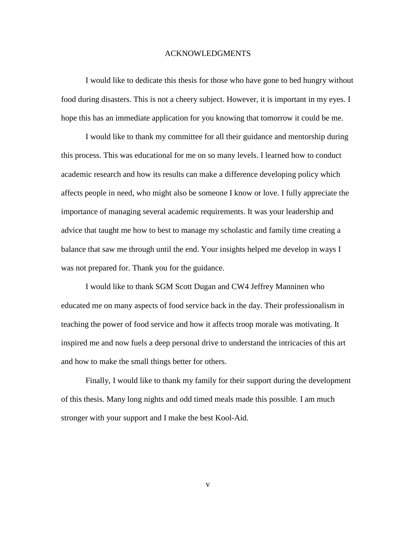#### ACKNOWLEDGMENTS

I would like to dedicate this thesis for those who have gone to bed hungry without food during disasters. This is not a cheery subject. However, it is important in my eyes. I hope this has an immediate application for you knowing that tomorrow it could be me.

I would like to thank my committee for all their guidance and mentorship during this process. This was educational for me on so many levels. I learned how to conduct academic research and how its results can make a difference developing policy which affects people in need, who might also be someone I know or love. I fully appreciate the importance of managing several academic requirements. It was your leadership and advice that taught me how to best to manage my scholastic and family time creating a balance that saw me through until the end. Your insights helped me develop in ways I was not prepared for. Thank you for the guidance.

I would like to thank SGM Scott Dugan and CW4 Jeffrey Manninen who educated me on many aspects of food service back in the day. Their professionalism in teaching the power of food service and how it affects troop morale was motivating. It inspired me and now fuels a deep personal drive to understand the intricacies of this art and how to make the small things better for others.

Finally, I would like to thank my family for their support during the development of this thesis. Many long nights and odd timed meals made this possible. I am much stronger with your support and I make the best Kool-Aid.

v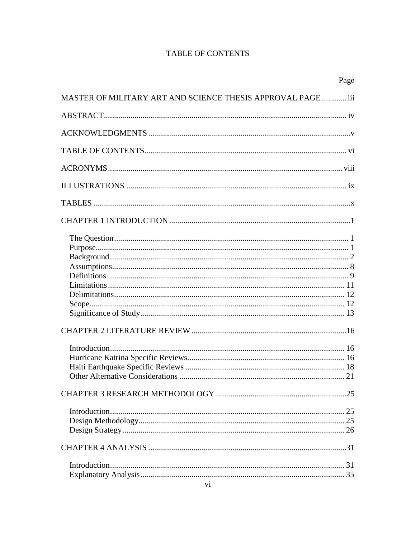# **TABLE OF CONTENTS**

| Page                                                         |
|--------------------------------------------------------------|
| MASTER OF MILITARY ART AND SCIENCE THESIS APPROVAL PAGE  iii |
|                                                              |
|                                                              |
|                                                              |
|                                                              |
|                                                              |
|                                                              |
|                                                              |
|                                                              |
|                                                              |
|                                                              |
|                                                              |
|                                                              |
|                                                              |
|                                                              |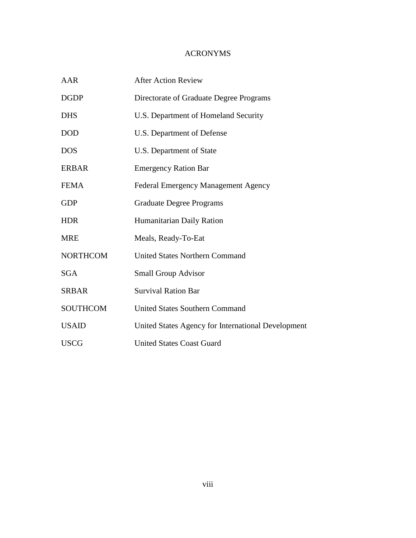# ACRONYMS

| <b>AAR</b>      | <b>After Action Review</b>                         |
|-----------------|----------------------------------------------------|
| <b>DGDP</b>     | Directorate of Graduate Degree Programs            |
| <b>DHS</b>      | U.S. Department of Homeland Security               |
| <b>DOD</b>      | U.S. Department of Defense                         |
| <b>DOS</b>      | U.S. Department of State                           |
| <b>ERBAR</b>    | <b>Emergency Ration Bar</b>                        |
| <b>FEMA</b>     | <b>Federal Emergency Management Agency</b>         |
| <b>GDP</b>      | <b>Graduate Degree Programs</b>                    |
| <b>HDR</b>      | Humanitarian Daily Ration                          |
| <b>MRE</b>      | Meals, Ready-To-Eat                                |
| <b>NORTHCOM</b> | <b>United States Northern Command</b>              |
| <b>SGA</b>      | <b>Small Group Advisor</b>                         |
| <b>SRBAR</b>    | <b>Survival Ration Bar</b>                         |
| <b>SOUTHCOM</b> | <b>United States Southern Command</b>              |
| <b>USAID</b>    | United States Agency for International Development |
| <b>USCG</b>     | <b>United States Coast Guard</b>                   |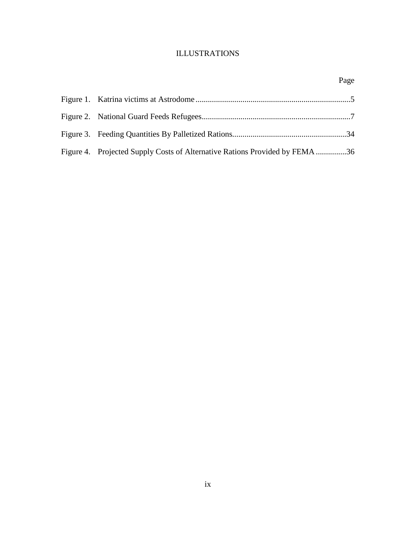# ILLUSTRATIONS

| Figure 4. Projected Supply Costs of Alternative Rations Provided by FEMA 36 |  |
|-----------------------------------------------------------------------------|--|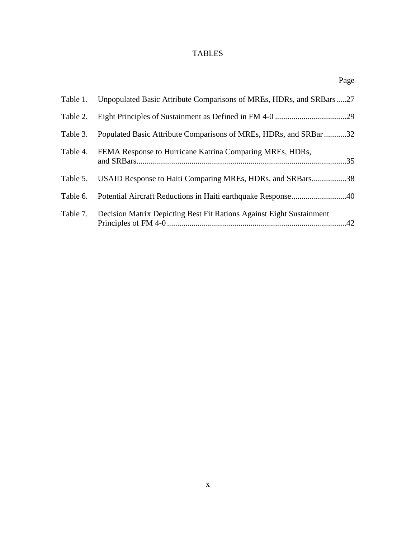# TABLES

| Table 1. | Unpopulated Basic Attribute Comparisons of MREs, HDRs, and SRBars27           |  |
|----------|-------------------------------------------------------------------------------|--|
| Table 2. |                                                                               |  |
| Table 3. | Populated Basic Attribute Comparisons of MREs, HDRs, and SRBar 32             |  |
| Table 4. | FEMA Response to Hurricane Katrina Comparing MREs, HDRs,                      |  |
| Table 5. | USAID Response to Haiti Comparing MREs, HDRs, and SRBars38                    |  |
|          |                                                                               |  |
|          | Table 7. Decision Matrix Depicting Best Fit Rations Against Eight Sustainment |  |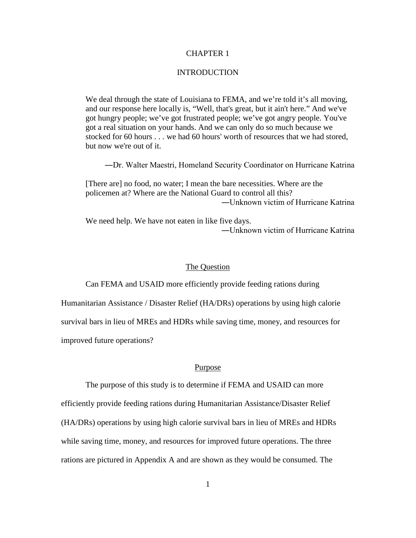# CHAPTER 1

### **INTRODUCTION**

We deal through the state of Louisiana to FEMA, and we're told it's all moving, and our response here locally is, "Well, that's great, but it ain't here." And we've got hungry people; we've got frustrated people; we've got angry people. You've got a real situation on your hands. And we can only do so much because we stocked for 60 hours . . . we had 60 hours' worth of resources that we had stored, but now we're out of it.

―Dr. Walter Maestri, Homeland Security Coordinator on Hurricane Katrina

[There are] no food, no water; I mean the bare necessities. Where are the policemen at? Where are the National Guard to control all this? ―Unknown victim of Hurricane Katrina

We need help. We have not eaten in like five days. ―Unknown victim of Hurricane Katrina

### The Question

Can FEMA and USAID more efficiently provide feeding rations during

Humanitarian Assistance / Disaster Relief (HA/DRs) operations by using high calorie

survival bars in lieu of MREs and HDRs while saving time, money, and resources for

improved future operations?

#### Purpose

The purpose of this study is to determine if FEMA and USAID can more

efficiently provide feeding rations during Humanitarian Assistance/Disaster Relief (HA/DRs) operations by using high calorie survival bars in lieu of MREs and HDRs while saving time, money, and resources for improved future operations. The three rations are pictured in Appendix A and are shown as they would be consumed. The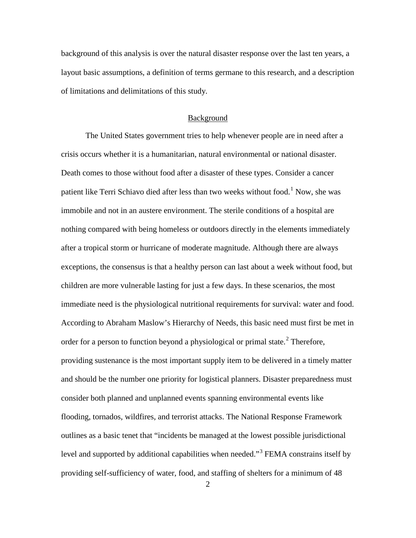background of this analysis is over the natural disaster response over the last ten years, a layout basic assumptions, a definition of terms germane to this research, and a description of limitations and delimitations of this study.

#### Background

The United States government tries to help whenever people are in need after a crisis occurs whether it is a humanitarian, natural environmental or national disaster. Death comes to those without food after a disaster of these types. Consider a cancer patient like Terri Schiavo died after less than two weeks without food.<sup>[1](#page-23-0)</sup> Now, she was immobile and not in an austere environment. The sterile conditions of a hospital are nothing compared with being homeless or outdoors directly in the elements immediately after a tropical storm or hurricane of moderate magnitude. Although there are always exceptions, the consensus is that a healthy person can last about a week without food, but children are more vulnerable lasting for just a few days. In these scenarios, the most immediate need is the physiological nutritional requirements for survival: water and food. According to Abraham Maslow's Hierarchy of Needs, this basic need must first be met in order for a person to function beyond a physiological or primal state.<sup>[2](#page-23-1)</sup> Therefore, providing sustenance is the most important supply item to be delivered in a timely matter and should be the number one priority for logistical planners. Disaster preparedness must consider both planned and unplanned events spanning environmental events like flooding, tornados, wildfires, and terrorist attacks. The National Response Framework outlines as a basic tenet that "incidents be managed at the lowest possible jurisdictional level and supported by additional capabilities when needed."<sup>[3](#page-23-2)</sup> FEMA constrains itself by providing self-sufficiency of water, food, and staffing of shelters for a minimum of 48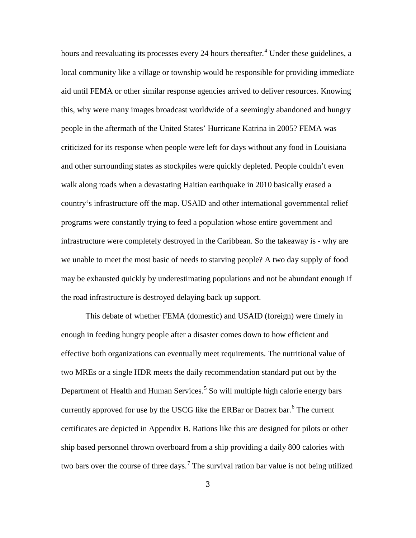hours and reevaluating its processes every 2[4](#page-24-0) hours thereafter.<sup>4</sup> Under these guidelines, a local community like a village or township would be responsible for providing immediate aid until FEMA or other similar response agencies arrived to deliver resources. Knowing this, why were many images broadcast worldwide of a seemingly abandoned and hungry people in the aftermath of the United States' Hurricane Katrina in 2005? FEMA was criticized for its response when people were left for days without any food in Louisiana and other surrounding states as stockpiles were quickly depleted. People couldn't even walk along roads when a devastating Haitian earthquake in 2010 basically erased a country's infrastructure off the map. USAID and other international governmental relief programs were constantly trying to feed a population whose entire government and infrastructure were completely destroyed in the Caribbean. So the takeaway is - why are we unable to meet the most basic of needs to starving people? A two day supply of food may be exhausted quickly by underestimating populations and not be abundant enough if the road infrastructure is destroyed delaying back up support.

This debate of whether FEMA (domestic) and USAID (foreign) were timely in enough in feeding hungry people after a disaster comes down to how efficient and effective both organizations can eventually meet requirements. The nutritional value of two MREs or a single HDR meets the daily recommendation standard put out by the Department of Health and Human Services.<sup>[5](#page-24-1)</sup> So will multiple high calorie energy bars currently approved for use by the USCG like the ERBar or Datrex bar.<sup>[6](#page-24-2)</sup> The current certificates are depicted in Appendix B. Rations like this are designed for pilots or other ship based personnel thrown overboard from a ship providing a daily 800 calories with two bars over the course of three days.<sup>[7](#page-24-3)</sup> The survival ration bar value is not being utilized

3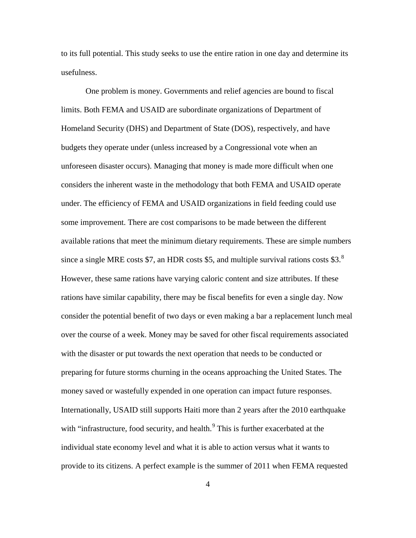to its full potential. This study seeks to use the entire ration in one day and determine its usefulness.

One problem is money. Governments and relief agencies are bound to fiscal limits. Both FEMA and USAID are subordinate organizations of Department of Homeland Security (DHS) and Department of State (DOS), respectively, and have budgets they operate under (unless increased by a Congressional vote when an unforeseen disaster occurs). Managing that money is made more difficult when one considers the inherent waste in the methodology that both FEMA and USAID operate under. The efficiency of FEMA and USAID organizations in field feeding could use some improvement. There are cost comparisons to be made between the different available rations that meet the minimum dietary requirements. These are simple numbers since a single MRE costs \$7, an HDR costs \$5, and multiple survival rations costs \$3. $8$ However, these same rations have varying caloric content and size attributes. If these rations have similar capability, there may be fiscal benefits for even a single day. Now consider the potential benefit of two days or even making a bar a replacement lunch meal over the course of a week. Money may be saved for other fiscal requirements associated with the disaster or put towards the next operation that needs to be conducted or preparing for future storms churning in the oceans approaching the United States. The money saved or wastefully expended in one operation can impact future responses. Internationally, USAID still supports Haiti more than 2 years after the 2010 earthquake with "infrastructure, food security, and health. $9$  This is further exacerbated at the individual state economy level and what it is able to action versus what it wants to provide to its citizens. A perfect example is the summer of 2011 when FEMA requested

4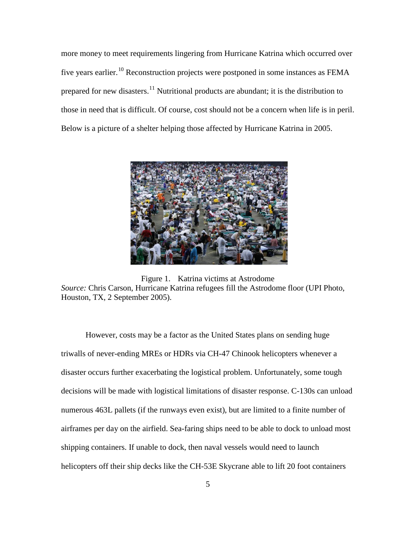more money to meet requirements lingering from Hurricane Katrina which occurred over five years earlier.<sup>[10](#page-26-0)</sup> Reconstruction projects were postponed in some instances as FEMA prepared for new disasters.<sup>[11](#page-26-1)</sup> Nutritional products are abundant; it is the distribution to those in need that is difficult. Of course, cost should not be a concern when life is in peril. Below is a picture of a shelter helping those affected by Hurricane Katrina in 2005.



Figure 1. Katrina victims at Astrodome *Source:* Chris Carson, Hurricane Katrina refugees fill the Astrodome floor (UPI Photo, Houston, TX, 2 September 2005).

However, costs may be a factor as the United States plans on sending huge triwalls of never-ending MREs or HDRs via CH-47 Chinook helicopters whenever a disaster occurs further exacerbating the logistical problem. Unfortunately, some tough decisions will be made with logistical limitations of disaster response. C-130s can unload numerous 463L pallets (if the runways even exist), but are limited to a finite number of airframes per day on the airfield. Sea-faring ships need to be able to dock to unload most shipping containers. If unable to dock, then naval vessels would need to launch helicopters off their ship decks like the CH-53E Skycrane able to lift 20 foot containers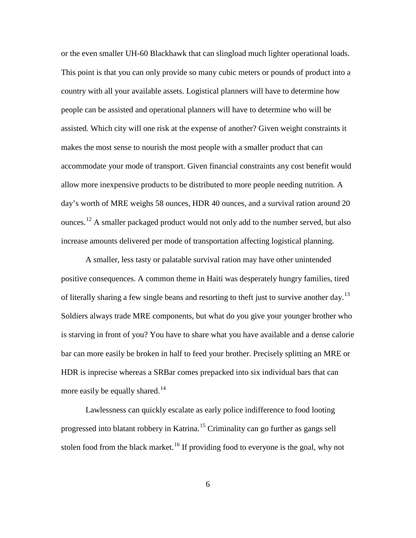or the even smaller UH-60 Blackhawk that can slingload much lighter operational loads. This point is that you can only provide so many cubic meters or pounds of product into a country with all your available assets. Logistical planners will have to determine how people can be assisted and operational planners will have to determine who will be assisted. Which city will one risk at the expense of another? Given weight constraints it makes the most sense to nourish the most people with a smaller product that can accommodate your mode of transport. Given financial constraints any cost benefit would allow more inexpensive products to be distributed to more people needing nutrition. A day's worth of MRE weighs 58 ounces, HDR 40 ounces, and a survival ration around 20 ounces.<sup>[12](#page-26-2)</sup> A smaller packaged product would not only add to the number served, but also increase amounts delivered per mode of transportation affecting logistical planning.

A smaller, less tasty or palatable survival ration may have other unintended positive consequences. A common theme in Haiti was desperately hungry families, tired of literally sharing a few single beans and resorting to theft just to survive another day.<sup>[13](#page-26-3)</sup> Soldiers always trade MRE components, but what do you give your younger brother who is starving in front of you? You have to share what you have available and a dense calorie bar can more easily be broken in half to feed your brother. Precisely splitting an MRE or HDR is inprecise whereas a SRBar comes prepacked into six individual bars that can more easily be equally shared.<sup>[14](#page-26-4)</sup>

Lawlessness can quickly escalate as early police indifference to food looting progressed into blatant robbery in Katrina. [15](#page-26-5) Criminality can go further as gangs sell stolen food from the black market.<sup>[16](#page-26-6)</sup> If providing food to everyone is the goal, why not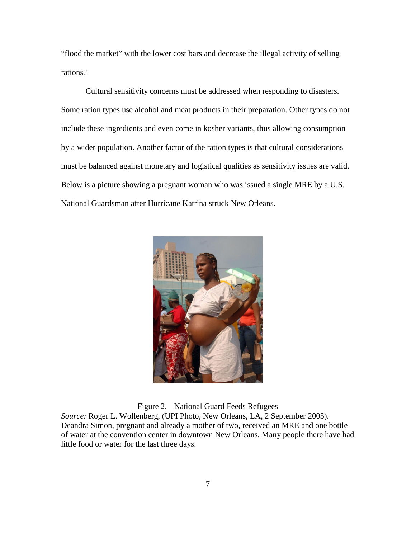"flood the market" with the lower cost bars and decrease the illegal activity of selling rations?

Cultural sensitivity concerns must be addressed when responding to disasters. Some ration types use alcohol and meat products in their preparation. Other types do not include these ingredients and even come in kosher variants, thus allowing consumption by a wider population. Another factor of the ration types is that cultural considerations must be balanced against monetary and logistical qualities as sensitivity issues are valid. Below is a picture showing a pregnant woman who was issued a single MRE by a U.S. National Guardsman after Hurricane Katrina struck New Orleans.



Figure 2. National Guard Feeds Refugees

*Source:* Roger L. Wollenberg, (UPI Photo, New Orleans, LA, 2 September 2005). Deandra Simon, pregnant and already a mother of two, received an MRE and one bottle of water at the convention center in downtown New Orleans. Many people there have had little food or water for the last three days.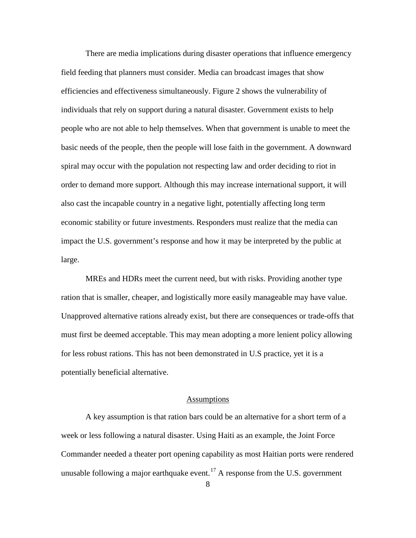There are media implications during disaster operations that influence emergency field feeding that planners must consider. Media can broadcast images that show efficiencies and effectiveness simultaneously. Figure 2 shows the vulnerability of individuals that rely on support during a natural disaster. Government exists to help people who are not able to help themselves. When that government is unable to meet the basic needs of the people, then the people will lose faith in the government. A downward spiral may occur with the population not respecting law and order deciding to riot in order to demand more support. Although this may increase international support, it will also cast the incapable country in a negative light, potentially affecting long term economic stability or future investments. Responders must realize that the media can impact the U.S. government's response and how it may be interpreted by the public at large.

MREs and HDRs meet the current need, but with risks. Providing another type ration that is smaller, cheaper, and logistically more easily manageable may have value. Unapproved alternative rations already exist, but there are consequences or trade-offs that must first be deemed acceptable. This may mean adopting a more lenient policy allowing for less robust rations. This has not been demonstrated in U.S practice, yet it is a potentially beneficial alternative.

# Assumptions

A key assumption is that ration bars could be an alternative for a short term of a week or less following a natural disaster. Using Haiti as an example, the Joint Force Commander needed a theater port opening capability as most Haitian ports were rendered unusable following a major earthquake event.<sup>[17](#page-26-7)</sup> A response from the U.S. government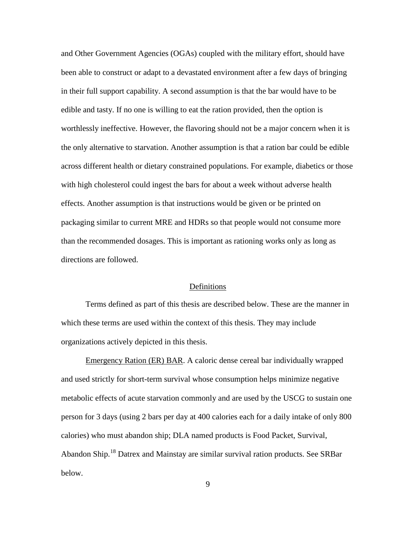and Other Government Agencies (OGAs) coupled with the military effort, should have been able to construct or adapt to a devastated environment after a few days of bringing in their full support capability. A second assumption is that the bar would have to be edible and tasty. If no one is willing to eat the ration provided, then the option is worthlessly ineffective. However, the flavoring should not be a major concern when it is the only alternative to starvation. Another assumption is that a ration bar could be edible across different health or dietary constrained populations. For example, diabetics or those with high cholesterol could ingest the bars for about a week without adverse health effects. Another assumption is that instructions would be given or be printed on packaging similar to current MRE and HDRs so that people would not consume more than the recommended dosages. This is important as rationing works only as long as directions are followed.

#### Definitions

Terms defined as part of this thesis are described below. These are the manner in which these terms are used within the context of this thesis. They may include organizations actively depicted in this thesis.

Emergency Ration (ER) BAR. A caloric dense cereal bar individually wrapped and used strictly for short-term survival whose consumption helps minimize negative metabolic effects of acute starvation commonly and are used by the USCG to sustain one person for 3 days (using 2 bars per day at 400 calories each for a daily intake of only 800 calories) who must abandon ship; DLA named products is Food Packet, Survival, Abandon Ship.[18](#page-27-0) Datrex and Mainstay are similar survival ration products. See SRBar below.

9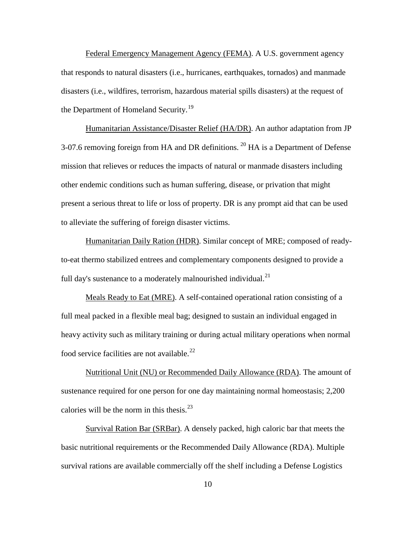Federal Emergency Management Agency (FEMA). A U.S. government agency that responds to natural disasters (i.e., hurricanes, earthquakes, tornados) and manmade disasters (i.e., wildfires, terrorism, hazardous material spills disasters) at the request of the Department of Homeland Security.<sup>[19](#page-28-0)</sup>

Humanitarian Assistance/Disaster Relief (HA/DR). An author adaptation from JP 3-07.6 removing foreign from HA and DR definitions.  $^{20}$  $^{20}$  $^{20}$  HA is a Department of Defense mission that relieves or reduces the impacts of natural or manmade disasters including other endemic conditions such as human suffering, disease, or privation that might present a serious threat to life or loss of property. DR is any prompt aid that can be used to alleviate the suffering of foreign disaster victims.

Humanitarian Daily Ration (HDR). Similar concept of MRE; composed of readyto-eat thermo stabilized entrees and complementary components designed to provide a full day's sustenance to a moderately malnourished individual.<sup>[21](#page-28-2)</sup>

Meals Ready to Eat (MRE). A self-contained operational ration consisting of a full meal packed in a flexible meal bag; designed to sustain an individual engaged in heavy activity such as military training or during actual military operations when normal food service facilities are not available. $^{22}$  $^{22}$  $^{22}$ 

Nutritional Unit (NU) or Recommended Daily Allowance (RDA). The amount of sustenance required for one person for one day maintaining normal homeostasis; 2,200 calories will be the norm in this thesis. $^{23}$  $^{23}$  $^{23}$ 

Survival Ration Bar (SRBar). A densely packed, high caloric bar that meets the basic nutritional requirements or the Recommended Daily Allowance (RDA). Multiple survival rations are available commercially off the shelf including a Defense Logistics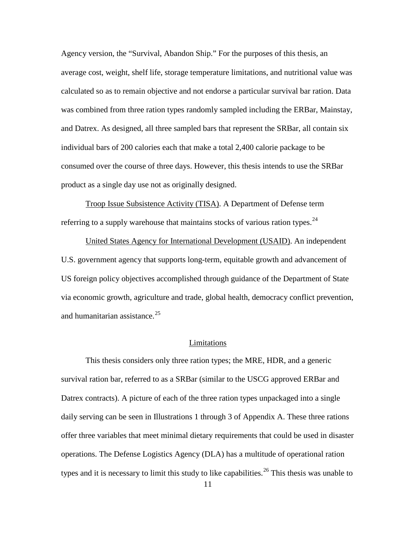Agency version, the "Survival, Abandon Ship." For the purposes of this thesis, an average cost, weight, shelf life, storage temperature limitations, and nutritional value was calculated so as to remain objective and not endorse a particular survival bar ration. Data was combined from three ration types randomly sampled including the ERBar, Mainstay, and Datrex. As designed, all three sampled bars that represent the SRBar, all contain six individual bars of 200 calories each that make a total 2,400 calorie package to be consumed over the course of three days. However, this thesis intends to use the SRBar product as a single day use not as originally designed.

Troop Issue Subsistence Activity (TISA). A Department of Defense term referring to a supply warehouse that maintains stocks of various ration types.<sup>[24](#page-29-0)</sup>

United States Agency for International Development (USAID). An independent U.S. government agency that supports long-term, equitable growth and advancement of US foreign policy objectives accomplished through guidance of the Department of State via economic growth, agriculture and trade, global health, democracy conflict prevention, and humanitarian assistance.<sup>[25](#page-29-1)</sup>

#### Limitations

This thesis considers only three ration types; the MRE, HDR, and a generic survival ration bar, referred to as a SRBar (similar to the USCG approved ERBar and Datrex contracts). A picture of each of the three ration types unpackaged into a single daily serving can be seen in Illustrations 1 through 3 of Appendix A. These three rations offer three variables that meet minimal dietary requirements that could be used in disaster operations. The Defense Logistics Agency (DLA) has a multitude of operational ration types and it is necessary to limit this study to like capabilities.<sup>[26](#page-29-2)</sup> This thesis was unable to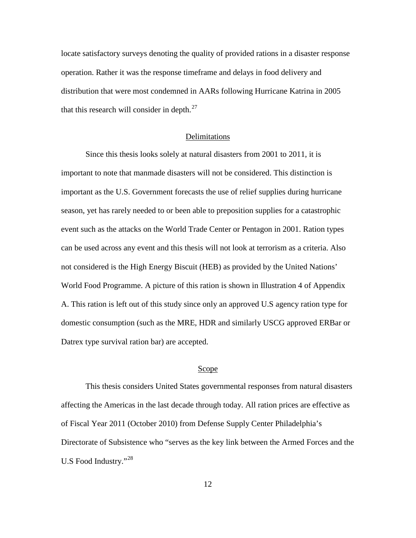locate satisfactory surveys denoting the quality of provided rations in a disaster response operation. Rather it was the response timeframe and delays in food delivery and distribution that were most condemned in AARs following Hurricane Katrina in 2005 that this research will consider in depth. $27$ 

# Delimitations

Since this thesis looks solely at natural disasters from 2001 to 2011, it is important to note that manmade disasters will not be considered. This distinction is important as the U.S. Government forecasts the use of relief supplies during hurricane season, yet has rarely needed to or been able to preposition supplies for a catastrophic event such as the attacks on the World Trade Center or Pentagon in 2001. Ration types can be used across any event and this thesis will not look at terrorism as a criteria. Also not considered is the High Energy Biscuit (HEB) as provided by the United Nations' World Food Programme. A picture of this ration is shown in Illustration 4 of Appendix A. This ration is left out of this study since only an approved U.S agency ration type for domestic consumption (such as the MRE, HDR and similarly USCG approved ERBar or Datrex type survival ration bar) are accepted.

### Scope

This thesis considers United States governmental responses from natural disasters affecting the Americas in the last decade through today. All ration prices are effective as of Fiscal Year 2011 (October 2010) from Defense Supply Center Philadelphia's Directorate of Subsistence who "serves as the key link between the Armed Forces and the U.S Food Industry."<sup>[28](#page-30-1)</sup>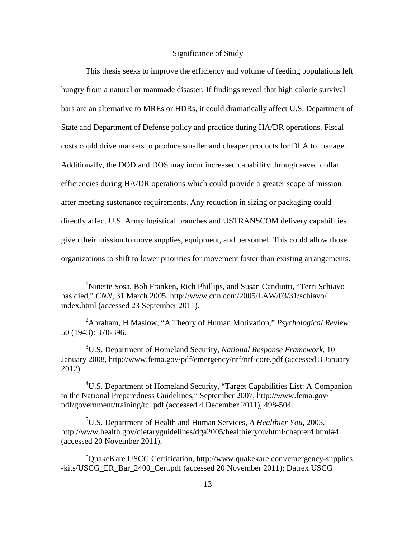# Significance of Study

This thesis seeks to improve the efficiency and volume of feeding populations left hungry from a natural or manmade disaster. If findings reveal that high calorie survival bars are an alternative to MREs or HDRs, it could dramatically affect U.S. Department of State and Department of Defense policy and practice during HA/DR operations. Fiscal costs could drive markets to produce smaller and cheaper products for DLA to manage. Additionally, the DOD and DOS may incur increased capability through saved dollar efficiencies during HA/DR operations which could provide a greater scope of mission after meeting sustenance requirements. Any reduction in sizing or packaging could directly affect U.S. Army logistical branches and USTRANSCOM delivery capabilities given their mission to move supplies, equipment, and personnel. This could allow those organizations to shift to lower priorities for movement faster than existing arrangements.

2 Abraham, H Maslow, "A Theory of Human Motivation," *Psychological Review*  50 (1943): 370-396.

3 U.S. Department of Homeland Security, *National Response Framework*, 10 January 2008, http://www.fema.gov/pdf/emergency/nrf/nrf-core.pdf (accessed 3 January 2012).

<sup>4</sup>U.S. Department of Homeland Security, "Target Capabilities List: A Companion to the National Preparedness Guidelines," September 2007, http://www.fema.gov/ pdf/government/training/tcl.pdf (accessed 4 December 2011), 498-504.

5 U.S. Department of Health and Human Services, *A Healthier You,* 2005, http://www.health.gov/dietaryguidelines/dga2005/healthieryou/html/chapter4.html#4 (accessed 20 November 2011).

6 QuakeKare USCG Certification, http://www.quakekare.com/emergency-supplies -kits/USCG\_ER\_Bar\_2400\_Cert.pdf (accessed 20 November 2011); Datrex USCG

<sup>&</sup>lt;u>1</u> <sup>1</sup>Ninette Sosa, Bob Franken, Rich Phillips, and Susan Candiotti, "Terri Schiavo" has died," *CNN*, 31 March 2005, http://www.cnn.com/2005/LAW/03/31/schiavo/ index.html (accessed 23 September 2011).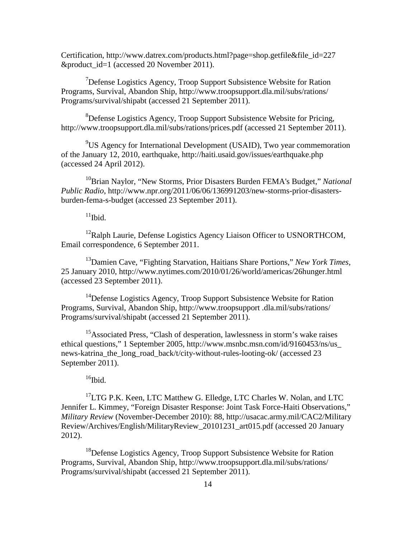Certification, http://www.datrex.com/products.html?page=shop.getfile&file\_id=227 &product\_id=1 (accessed 20 November 2011).

<sup>7</sup>Defense Logistics Agency, Troop Support Subsistence Website for Ration Programs, Survival, Abandon Ship, http://www.troopsupport.dla.mil/subs/rations/ Programs/survival/shipabt (accessed 21 September 2011).

<sup>8</sup>Defense Logistics Agency, Troop Support Subsistence Website for Pricing, http://www.troopsupport.dla.mil/subs/rations/prices.pdf (accessed 21 September 2011).

<sup>9</sup>US Agency for International Development (USAID), Two year commemoration of the January 12, 2010, earthquake, http://haiti.usaid.gov/issues/earthquake.php (accessed 24 April 2012).

<sup>10</sup>Brian Naylor, "New Storms, Prior Disasters Burden FEMA's Budget," *National Public Radio*, http://www.npr.org/2011/06/06/136991203/new-storms-prior-disastersburden-fema-s-budget (accessed 23 September 2011).

 $11$ Ibid.

 $12$ Ralph Laurie, Defense Logistics Agency Liaison Officer to USNORTHCOM, Email correspondence, 6 September 2011.

13Damien Cave, "Fighting Starvation, Haitians Share Portions," *New York Times*, 25 January 2010, http://www.nytimes.com/2010/01/26/world/americas/26hunger.html (accessed 23 September 2011).

<span id="page-23-0"></span><sup>14</sup>Defense Logistics Agency, Troop Support Subsistence Website for Ration Programs, Survival, Abandon Ship, http://www.troopsupport .dla.mil/subs/rations/ Programs/survival/shipabt (accessed 21 September 2011).

<span id="page-23-2"></span><span id="page-23-1"></span><sup>15</sup>Associated Press, "Clash of desperation, lawlessness in storm's wake raises ethical questions," 1 September 2005, http://www.msnbc.msn.com/id/9160453/ns/us\_ news-katrina\_the\_long\_road\_back/t/city-without-rules-looting-ok/ (accessed 23 September 2011).

 $16$ Ibid.

 $17$ LTG P.K. Keen, LTC Matthew G. Elledge, LTC Charles W. Nolan, and LTC Jennifer L. Kimmey, "Foreign Disaster Response: Joint Task Force-Haiti Observations," *Military Review* (November-December 2010): 88, http://usacac.army.mil/CAC2/Military Review/Archives/English/MilitaryReview\_20101231\_art015.pdf (accessed 20 January 2012).

<sup>18</sup>Defense Logistics Agency, Troop Support Subsistence Website for Ration Programs, Survival, Abandon Ship, http://www.troopsupport.dla.mil/subs/rations/ Programs/survival/shipabt (accessed 21 September 2011).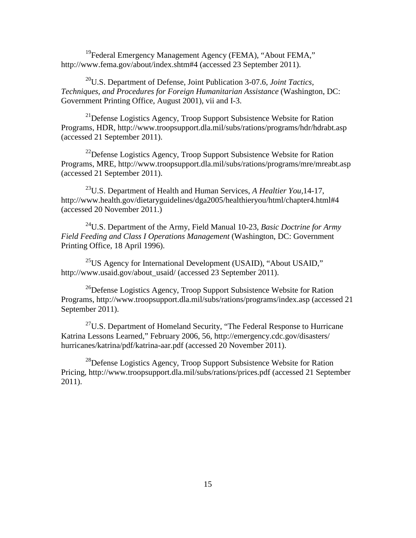<sup>19</sup>Federal Emergency Management Agency (FEMA), "About FEMA," http://www.fema.gov/about/index.shtm#4 (accessed 23 September 2011).

<span id="page-24-3"></span>20U.S. Department of Defense, Joint Publication 3-07.6, *Joint Tactics, Techniques, and Procedures for Foreign Humanitarian Assistance* (Washington, DC: Government Printing Office, August 2001), vii and I-3.

 $^{21}$ Defense Logistics Agency, Troop Support Subsistence Website for Ration Programs, HDR, http://www.troopsupport.dla.mil/subs/rations/programs/hdr/hdrabt.asp (accessed 21 September 2011).

<sup>22</sup>Defense Logistics Agency, Troop Support Subsistence Website for Ration Programs, MRE, http://www.troopsupport.dla.mil/subs/rations/programs/mre/mreabt.asp (accessed 21 September 2011).

23U.S. Department of Health and Human Services, *A Healtier You,*14-17, http://www.health.gov/dietaryguidelines/dga2005/healthieryou/html/chapter4.html#4 (accessed 20 November 2011.)

24U.S. Department of the Army, Field Manual 10-23, *Basic Doctrine for Army Field Feeding and Class I Operations Management* (Washington, DC: Government Printing Office, 18 April 1996).

 $^{25}$ US Agency for International Development (USAID), "About USAID," http://www.usaid.gov/about\_usaid/ (accessed 23 September 2011).

 $^{26}$ Defense Logistics Agency, Troop Support Subsistence Website for Ration Programs, http://www.troopsupport.dla.mil/subs/rations/programs/index.asp (accessed 21 September 2011).

 $27$ U.S. Department of Homeland Security, "The Federal Response to Hurricane Katrina Lessons Learned," February 2006, 56, http://emergency.cdc.gov/disasters/ hurricanes/katrina/pdf/katrina-aar.pdf (accessed 20 November 2011).

<span id="page-24-2"></span><span id="page-24-1"></span><span id="page-24-0"></span><sup>28</sup>Defense Logistics Agency, Troop Support Subsistence Website for Ration Pricing, http://www.troopsupport.dla.mil/subs/rations/prices.pdf (accessed 21 September 2011).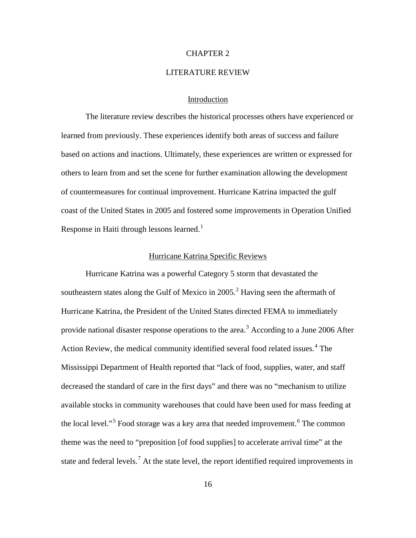## CHAPTER 2

### LITERATURE REVIEW

# Introduction

<span id="page-25-1"></span><span id="page-25-0"></span>The literature review describes the historical processes others have experienced or learned from previously. These experiences identify both areas of success and failure based on actions and inactions. Ultimately, these experiences are written or expressed for others to learn from and set the scene for further examination allowing the development of countermeasures for continual improvement. Hurricane Katrina impacted the gulf coast of the United States in 2005 and fostered some improvements in Operation Unified Response in Haiti through lessons learned. $<sup>1</sup>$  $<sup>1</sup>$  $<sup>1</sup>$ </sup>

# Hurricane Katrina Specific Reviews

Hurricane Katrina was a powerful Category 5 storm that devastated the southeastern states along the Gulf of Mexico in  $2005$  $2005$ <sup>2</sup> Having seen the aftermath of Hurricane Katrina, the President of the United States directed FEMA to immediately provide national disaster response operations to the area.<sup>[3](#page-39-2)</sup> According to a June 2006 After Action Review, the medical community identified several food related issues.<sup>[4](#page-39-3)</sup> The Mississippi Department of Health reported that "lack of food, supplies, water, and staff decreased the standard of care in the first days" and there was no "mechanism to utilize available stocks in community warehouses that could have been used for mass feeding at the local level."<sup>[5](#page-39-4)</sup> Food storage was a key area that needed improvement.<sup>[6](#page-39-5)</sup> The common theme was the need to "preposition [of food supplies] to accelerate arrival time" at the state and federal levels.<sup>[7](#page-39-6)</sup> At the state level, the report identified required improvements in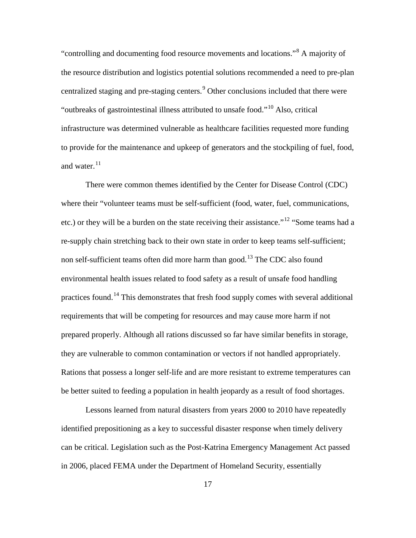"controlling and documenting food resource movements and locations."[8](#page-40-0) A majority of the resource distribution and logistics potential solutions recommended a need to pre-plan centralized staging and pre-staging centers.<sup>[9](#page-40-1)</sup> Other conclusions included that there were "outbreaks of gastrointestinal illness attributed to unsafe food."[10](#page-40-2) Also, critical infrastructure was determined vulnerable as healthcare facilities requested more funding to provide for the maintenance and upkeep of generators and the stockpiling of fuel, food, and water. $^{11}$  $^{11}$  $^{11}$ 

<span id="page-26-4"></span><span id="page-26-3"></span><span id="page-26-2"></span><span id="page-26-1"></span><span id="page-26-0"></span>There were common themes identified by the Center for Disease Control (CDC) where their "volunteer teams must be self-sufficient (food, water, fuel, communications, etc.) or they will be a burden on the state receiving their assistance."<sup>[12](#page-40-4)</sup> "Some teams had a re-supply chain stretching back to their own state in order to keep teams self-sufficient; non self-sufficient teams often did more harm than good.<sup>[13](#page-40-5)</sup> The CDC also found environmental health issues related to food safety as a result of unsafe food handling practices found.<sup>[14](#page-40-6)</sup> This demonstrates that fresh food supply comes with several additional requirements that will be competing for resources and may cause more harm if not prepared properly. Although all rations discussed so far have similar benefits in storage, they are vulnerable to common contamination or vectors if not handled appropriately. Rations that possess a longer self-life and are more resistant to extreme temperatures can be better suited to feeding a population in health jeopardy as a result of food shortages.

<span id="page-26-7"></span><span id="page-26-6"></span><span id="page-26-5"></span>Lessons learned from natural disasters from years 2000 to 2010 have repeatedly identified prepositioning as a key to successful disaster response when timely delivery can be critical. Legislation such as the Post-Katrina Emergency Management Act passed in 2006, placed FEMA under the Department of Homeland Security, essentially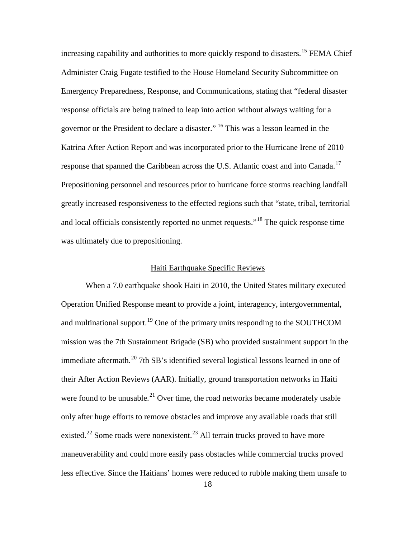increasing capability and authorities to more quickly respond to disasters.<sup>[15](#page-41-0)</sup> FEMA Chief Administer Craig Fugate testified to the House Homeland Security Subcommittee on Emergency Preparedness, Response, and Communications, stating that "federal disaster response officials are being trained to leap into action without always waiting for a governor or the President to declare a disaster." [16](#page-41-1) This was a lesson learned in the Katrina After Action Report and was incorporated prior to the Hurricane Irene of 2010 response that spanned the Caribbean across the U.S. Atlantic coast and into Canada.<sup>[17](#page-41-2)</sup> Prepositioning personnel and resources prior to hurricane force storms reaching landfall greatly increased responsiveness to the effected regions such that "state, tribal, territorial and local officials consistently reported no unmet requests."<sup>[18](#page-41-3)</sup> The quick response time was ultimately due to prepositioning.

# Haiti Earthquake Specific Reviews

<span id="page-27-0"></span>When a 7.0 earthquake shook Haiti in 2010, the United States military executed Operation Unified Response meant to provide a joint, interagency, intergovernmental, and multinational support.<sup>[19](#page-41-4)</sup> One of the primary units responding to the SOUTHCOM mission was the 7th Sustainment Brigade (SB) who provided sustainment support in the immediate aftermath.<sup>[20](#page-41-5)</sup> 7th SB's identified several logistical lessons learned in one of their After Action Reviews (AAR). Initially, ground transportation networks in Haiti were found to be unusable.<sup>[21](#page-41-6)</sup> Over time, the road networks became moderately usable only after huge efforts to remove obstacles and improve any available roads that still existed.<sup>[22](#page-41-7)</sup> Some roads were nonexistent.<sup>[23](#page-41-8)</sup> All terrain trucks proved to have more maneuverability and could more easily pass obstacles while commercial trucks proved less effective. Since the Haitians' homes were reduced to rubble making them unsafe to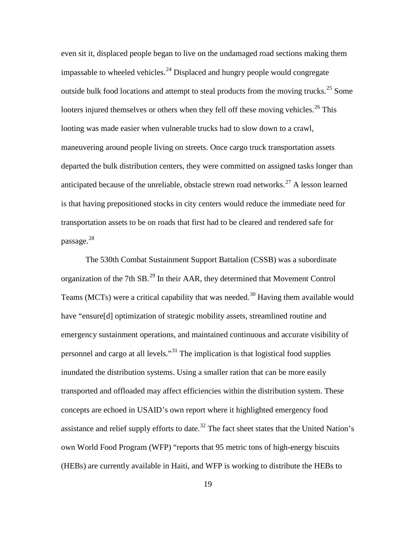<span id="page-28-3"></span><span id="page-28-2"></span><span id="page-28-1"></span><span id="page-28-0"></span>even sit it, displaced people began to live on the undamaged road sections making them impassable to wheeled vehicles.<sup>[24](#page-42-0)</sup> Displaced and hungry people would congregate outside bulk food locations and attempt to steal products from the moving trucks.<sup>[25](#page-42-1)</sup> Some looters injured themselves or others when they fell off these moving vehicles.<sup>[26](#page-42-2)</sup> This looting was made easier when vulnerable trucks had to slow down to a crawl, maneuvering around people living on streets. Once cargo truck transportation assets departed the bulk distribution centers, they were committed on assigned tasks longer than anticipated because of the unreliable, obstacle strewn road networks.<sup>[27](#page-42-3)</sup> A lesson learned is that having prepositioned stocks in city centers would reduce the immediate need for transportation assets to be on roads that first had to be cleared and rendered safe for passage. $^{28}$  $^{28}$  $^{28}$ 

<span id="page-28-4"></span>The 530th Combat Sustainment Support Battalion (CSSB) was a subordinate organization of the 7th SB.[29](#page-42-5) In their AAR, they determined that Movement Control Teams (MCTs) were a critical capability that was needed.<sup>[30](#page-42-6)</sup> Having them available would have "ensure<sup>[d]</sup> optimization of strategic mobility assets, streamlined routine and emergency sustainment operations, and maintained continuous and accurate visibility of personnel and cargo at all levels."[31](#page-42-7) The implication is that logistical food supplies inundated the distribution systems. Using a smaller ration that can be more easily transported and offloaded may affect efficiencies within the distribution system. These concepts are echoed in USAID's own report where it highlighted emergency food assistance and relief supply efforts to date.<sup>[32](#page-42-8)</sup> The fact sheet states that the United Nation's own World Food Program (WFP) "reports that 95 metric tons of high-energy biscuits (HEBs) are currently available in Haiti, and WFP is working to distribute the HEBs to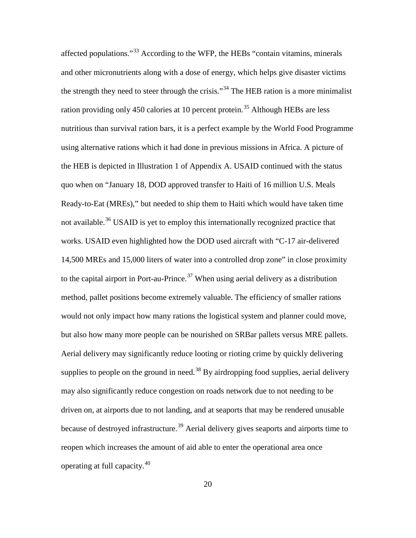<span id="page-29-2"></span><span id="page-29-1"></span><span id="page-29-0"></span>affected populations."[33](#page-43-0) According to the WFP, the HEBs "contain vitamins, minerals and other micronutrients along with a dose of energy, which helps give disaster victims the strength they need to steer through the crisis."<sup>[34](#page-43-1)</sup> The HEB ration is a more minimalist ration providing only 450 calories at 10 percent protein.<sup>[35](#page-43-2)</sup> Although HEBs are less nutritious than survival ration bars, it is a perfect example by the World Food Programme using alternative rations which it had done in previous missions in Africa. A picture of the HEB is depicted in Illustration 1 of Appendix A. USAID continued with the status quo when on "January 18, DOD approved transfer to Haiti of 16 million U.S. Meals Ready-to-Eat (MREs)," but needed to ship them to Haiti which would have taken time not available.<sup>[36](#page-43-3)</sup> USAID is yet to employ this internationally recognized practice that works. USAID even highlighted how the DOD used aircraft with "C-17 air-delivered 14,500 MREs and 15,000 liters of water into a controlled drop zone" in close proximity to the capital airport in Port-au-Prince.<sup>[37](#page-43-4)</sup> When using aerial delivery as a distribution method, pallet positions become extremely valuable. The efficiency of smaller rations would not only impact how many rations the logistical system and planner could move, but also how many more people can be nourished on SRBar pallets versus MRE pallets. Aerial delivery may significantly reduce looting or rioting crime by quickly delivering supplies to people on the ground in need.<sup>[38](#page-43-5)</sup> By airdropping food supplies, aerial delivery may also significantly reduce congestion on roads network due to not needing to be driven on, at airports due to not landing, and at seaports that may be rendered unusable because of destroyed infrastructure.<sup>[39](#page-43-6)</sup> Aerial delivery gives seaports and airports time to reopen which increases the amount of aid able to enter the operational area once operating at full capacity.[40](#page-43-7)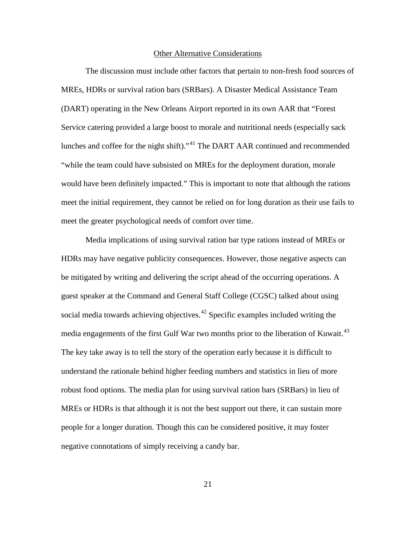#### Other Alternative Considerations

The discussion must include other factors that pertain to non-fresh food sources of MREs, HDRs or survival ration bars (SRBars). A Disaster Medical Assistance Team (DART) operating in the New Orleans Airport reported in its own AAR that "Forest Service catering provided a large boost to morale and nutritional needs (especially sack lunches and coffee for the night shift)."[41](#page-44-0) The DART AAR continued and recommended "while the team could have subsisted on MREs for the deployment duration, morale would have been definitely impacted." This is important to note that although the rations meet the initial requirement, they cannot be relied on for long duration as their use fails to meet the greater psychological needs of comfort over time.

<span id="page-30-1"></span><span id="page-30-0"></span>Media implications of using survival ration bar type rations instead of MREs or HDRs may have negative publicity consequences. However, those negative aspects can be mitigated by writing and delivering the script ahead of the occurring operations. A guest speaker at the Command and General Staff College (CGSC) talked about using social media towards achieving objectives.<sup>[42](#page-44-1)</sup> Specific examples included writing the media engagements of the first Gulf War two months prior to the liberation of Kuwait.<sup>[43](#page-44-2)</sup> The key take away is to tell the story of the operation early because it is difficult to understand the rationale behind higher feeding numbers and statistics in lieu of more robust food options. The media plan for using survival ration bars (SRBars) in lieu of MREs or HDRs is that although it is not the best support out there, it can sustain more people for a longer duration. Though this can be considered positive, it may foster negative connotations of simply receiving a candy bar.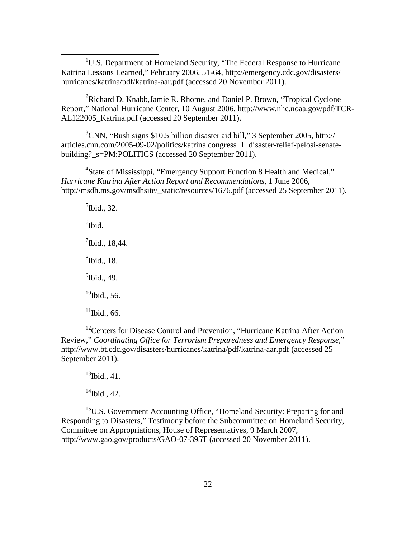<u>1</u> <sup>1</sup>U.S. Department of Homeland Security, "The Federal Response to Hurricane" Katrina Lessons Learned," February 2006, 51-64, http://emergency.cdc.gov/disasters/ hurricanes/katrina/pdf/katrina-aar.pdf (accessed 20 November 2011).

<sup>2</sup>Richard D. Knabb, Jamie R. Rhome, and Daniel P. Brown, "Tropical Cyclone Report," National Hurricane Center, 10 August 2006, http://www.nhc.noaa.gov/pdf/TCR-AL122005 Katrina.pdf (accessed 20 September 2011).

<sup>3</sup>CNN, "Bush signs \$10.5 billion disaster aid bill," 3 September 2005, http:// articles.cnn.com/2005-09-02/politics/katrina.congress\_1\_disaster-relief-pelosi-senatebuilding? s=PM:POLITICS (accessed 20 September 2011).

<sup>4</sup>State of Mississippi, "Emergency Support Function 8 Health and Medical," *Hurricane Katrina After Action Report and Recommendations*, 1 June 2006, http://msdh.ms.gov/msdhsite/\_static/resources/1676.pdf (accessed 25 September 2011).

 $<sup>5</sup>$ Ibid., 32.</sup>  $6$ Ibid.  $7$ Ibid., 18,44. 8 Ibid., 18. <sup>9</sup>Ibid., 49.  $10$ Ibid., 56.  $11$ Ibid., 66.

<sup>12</sup>Centers for Disease Control and Prevention, "Hurricane Katrina After Action" Review," *Coordinating Office for Terrorism Preparedness and Emergency Response,*" http://www.bt.cdc.gov/disasters/hurricanes/katrina/pdf/katrina-aar.pdf (accessed 25 September 2011).

 $^{13}$ Ibid., 41.

 $14$ Ibid., 42.

<sup>15</sup>U.S. Government Accounting Office, "Homeland Security: Preparing for and Responding to Disasters," Testimony before the Subcommittee on Homeland Security, Committee on Appropriations, House of Representatives, 9 March 2007, http://www.gao.gov/products/GAO-07-395T (accessed 20 November 2011).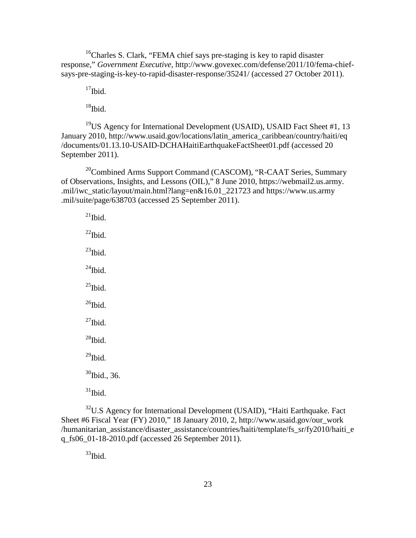$16$ Charles S. Clark, "FEMA chief says pre-staging is key to rapid disaster response," *Government Executive,* [http://www.govexec.com/defense/2011/10/fema-chief](http://www.govexec.com/defense/2011/10/fema-chief-says-pre-staging-is-key-to-rapid-disaster-response/35241/)[says-pre-staging-is-key-to-rapid-disaster-response/35241/](http://www.govexec.com/defense/2011/10/fema-chief-says-pre-staging-is-key-to-rapid-disaster-response/35241/) (accessed 27 October 2011).

 $17$ Ibid.

 $18$ Ibid.

<sup>19</sup>US Agency for International Development (USAID), USAID Fact Sheet #1, 13 January 2010, http://www.usaid.gov/locations/latin\_america\_caribbean/country/haiti/eq /documents/01.13.10-USAID-DCHAHaitiEarthquakeFactSheet01.pdf (accessed 20 September 2011).

<sup>20</sup>Combined Arms Support Command (CASCOM), "R-CAAT Series, Summary of Observations, Insights, and Lessons (OIL)," 8 June 2010, https://webmail2.us.army. .mil/iwc\_static/layout/main.html?lang=en&16.01\_221723 and https://www.us.army .mil/suite/page/638703 (accessed 25 September 2011).

 $^{21}$ Ibid.  $^{22}$ Ibid.  $^{23}$ Ibid.  $^{24}$ Ibid.  $^{25}$ Ibid.  $^{26}$ Ibid.  $^{27}$ Ibid.  $^{28}$ Ibid.  $^{29}$ Ibid.  $30$ Ibid., 36.  $31$ Ibid.

 $32^{\circ}$ U.S Agency for International Development (USAID), "Haiti Earthquake. Fact Sheet #6 Fiscal Year (FY) 2010," 18 January 2010, 2, http://www.usaid.gov/our\_work /humanitarian\_assistance/disaster\_assistance/countries/haiti/template/fs\_sr/fy2010/haiti\_e q\_fs06\_01-18-2010.pdf (accessed 26 September 2011).

 $33$ Ibid.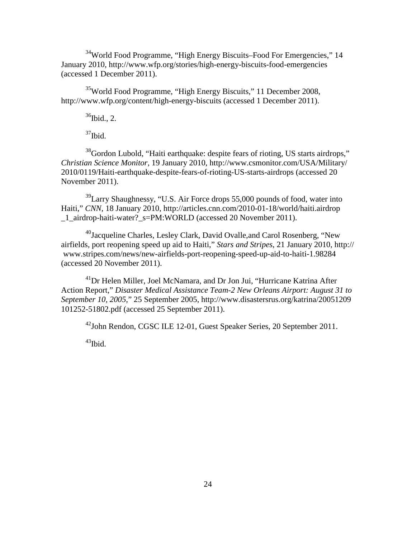<sup>34</sup>World Food Programme, "High Energy Biscuits–Food For Emergencies," 14 January 2010,<http://www.wfp.org/stories/high-energy-biscuits-food-emergencies> (accessed 1 December 2011).

35World Food Programme, "High Energy Biscuits," 11 December 2008, <http://www.wfp.org/content/high-energy-biscuits> (accessed 1 December 2011).

 $36$ Ibid., 2.

 $37$ Ibid.

<sup>38</sup>Gordon Lubold, "Haiti earthquake: despite fears of rioting, US starts airdrops," *Christian Science Monitor*, 19 January 2010, http://www.csmonitor.com/USA/Military/ 2010/0119/Haiti-earthquake-despite-fears-of-rioting-US-starts-airdrops (accessed 20 November 2011).

 $39$ Larry Shaughnessy, "U.S. Air Force drops 55,000 pounds of food, water into Haiti," *CNN*, 18 January 2010, http://articles.cnn.com/2010-01-18/world/haiti.airdrop \_1\_airdrop-haiti-water?\_s=PM:WORLD (accessed 20 November 2011).

 $^{40}$ Jacqueline Charles, Lesley Clark, David Ovalle, and Carol Rosenberg, "New airfields, port reopening speed up aid to Haiti," *Stars and Stripes*, 21 January 2010, http:// www.stripes.com/news/new-airfields-port-reopening-speed-up-aid-to-haiti-1.98284 (accessed 20 November 2011).

<sup>41</sup>Dr Helen Miller, Joel McNamara, and Dr Jon Jui, "Hurricane Katrina After Action Report," *Disaster Medical Assistance Team-2 New Orleans Airport: August 31 to September 10, 2005,*" 25 September 2005, http://www.disastersrus.org/katrina/20051209 101252-51802.pdf (accessed 25 September 2011).

42John Rendon, CGSC ILE 12-01, Guest Speaker Series, 20 September 2011.

 $43$ Ibid.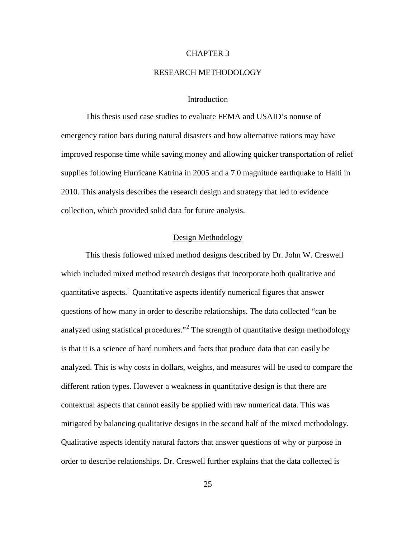# CHAPTER 3

### RESEARCH METHODOLOGY

# Introduction

This thesis used case studies to evaluate FEMA and USAID's nonuse of emergency ration bars during natural disasters and how alternative rations may have improved response time while saving money and allowing quicker transportation of relief supplies following Hurricane Katrina in 2005 and a 7.0 magnitude earthquake to Haiti in 2010. This analysis describes the research design and strategy that led to evidence collection, which provided solid data for future analysis.

# Design Methodology

This thesis followed mixed method designs described by Dr. John W. Creswell which included mixed method research designs that incorporate both qualitative and quantitative aspects.<sup>[1](#page-53-0)</sup> Quantitative aspects identify numerical figures that answer questions of how many in order to describe relationships. The data collected "can be analyzed using statistical procedures."<sup>[2](#page-53-1)</sup> The strength of quantitative design methodology is that it is a science of hard numbers and facts that produce data that can easily be analyzed. This is why costs in dollars, weights, and measures will be used to compare the different ration types. However a weakness in quantitative design is that there are contextual aspects that cannot easily be applied with raw numerical data. This was mitigated by balancing qualitative designs in the second half of the mixed methodology. Qualitative aspects identify natural factors that answer questions of why or purpose in order to describe relationships. Dr. Creswell further explains that the data collected is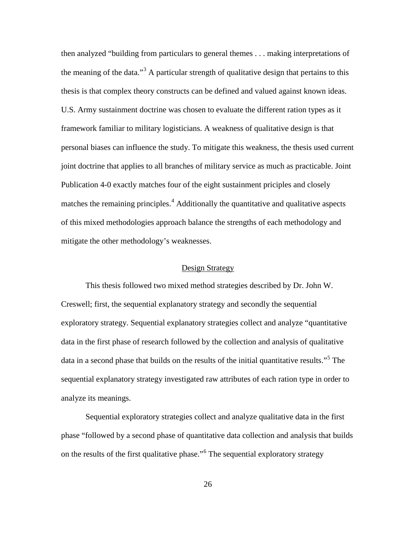then analyzed "building from particulars to general themes . . . making interpretations of the meaning of the data.<sup>[3](#page-54-0)3</sup> A particular strength of qualitative design that pertains to this thesis is that complex theory constructs can be defined and valued against known ideas. U.S. Army sustainment doctrine was chosen to evaluate the different ration types as it framework familiar to military logisticians. A weakness of qualitative design is that personal biases can influence the study. To mitigate this weakness, the thesis used current joint doctrine that applies to all branches of military service as much as practicable. Joint Publication 4-0 exactly matches four of the eight sustainment priciples and closely matches the remaining principles.<sup>[4](#page-54-1)</sup> Additionally the quantitative and qualitative aspects of this mixed methodologies approach balance the strengths of each methodology and mitigate the other methodology's weaknesses.

# Design Strategy

This thesis followed two mixed method strategies described by Dr. John W. Creswell; first, the sequential explanatory strategy and secondly the sequential exploratory strategy. Sequential explanatory strategies collect and analyze "quantitative data in the first phase of research followed by the collection and analysis of qualitative data in a second phase that builds on the results of the initial quantitative results."<sup>[5](#page-54-2)</sup> The sequential explanatory strategy investigated raw attributes of each ration type in order to analyze its meanings.

Sequential exploratory strategies collect and analyze qualitative data in the first phase "followed by a second phase of quantitative data collection and analysis that builds on the results of the first qualitative phase."[6](#page-54-3) The sequential exploratory strategy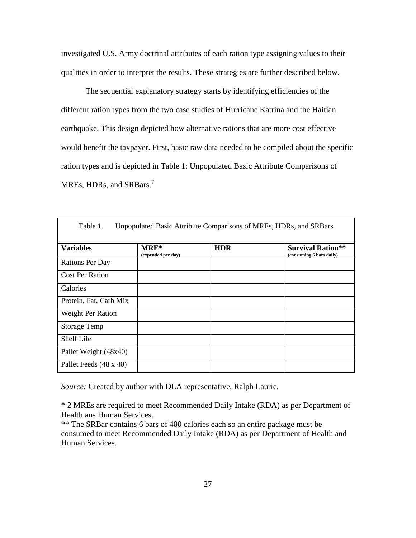investigated U.S. Army doctrinal attributes of each ration type assigning values to their qualities in order to interpret the results. These strategies are further described below.

The sequential explanatory strategy starts by identifying efficiencies of the different ration types from the two case studies of Hurricane Katrina and the Haitian earthquake. This design depicted how alternative rations that are more cost effective would benefit the taxpayer. First, basic raw data needed to be compiled about the specific ration types and is depicted in Table 1: Unpopulated Basic Attribute Comparisons of MREs, HDRs, and SRBars.<sup>[7](#page-55-0)</sup>

| Table 1.                 |                            | Unpopulated Basic Attribute Comparisons of MREs, HDRs, and SRBars |                                                      |
|--------------------------|----------------------------|-------------------------------------------------------------------|------------------------------------------------------|
| <b>Variables</b>         | MRE*<br>(expended per day) | <b>HDR</b>                                                        | <b>Survival Ration**</b><br>(consuming 6 bars daily) |
| <b>Rations Per Day</b>   |                            |                                                                   |                                                      |
| <b>Cost Per Ration</b>   |                            |                                                                   |                                                      |
| Calories                 |                            |                                                                   |                                                      |
| Protein, Fat, Carb Mix   |                            |                                                                   |                                                      |
| <b>Weight Per Ration</b> |                            |                                                                   |                                                      |
| <b>Storage Temp</b>      |                            |                                                                   |                                                      |
| Shelf Life               |                            |                                                                   |                                                      |
| Pallet Weight (48x40)    |                            |                                                                   |                                                      |
| Pallet Feeds (48 x 40)   |                            |                                                                   |                                                      |

*Source:* Created by author with DLA representative, Ralph Laurie.

\* 2 MREs are required to meet Recommended Daily Intake (RDA) as per Department of Health ans Human Services.

\*\* The SRBar contains 6 bars of 400 calories each so an entire package must be consumed to meet Recommended Daily Intake (RDA) as per Department of Health and Human Services.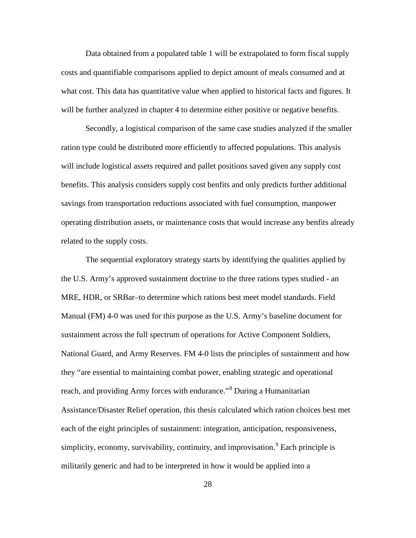Data obtained from a populated table 1 will be extrapolated to form fiscal supply costs and quantifiable comparisons applied to depict amount of meals consumed and at what cost. This data has quantitative value when applied to historical facts and figures. It will be further analyzed in chapter 4 to determine either positive or negative benefits.

Secondly, a logistical comparison of the same case studies analyzed if the smaller ration type could be distributed more efficiently to affected populations. This analysis will include logistical assets required and pallet positions saved given any supply cost benefits. This analysis considers supply cost benfits and only predicts further additional savings from transportation reductions associated with fuel consumption, manpower operating distribution assets, or maintenance costs that would increase any benfits already related to the supply costs.

The sequential exploratory strategy starts by identifying the qualities applied by the U.S. Army's approved sustainment doctrine to the three rations types studied - an MRE, HDR, or SRBar–to determine which rations best meet model standards. Field Manual (FM) 4-0 was used for this purpose as the U.S. Army's baseline document for sustainment across the full spectrum of operations for Active Component Soldiers, National Guard, and Army Reserves. FM 4-0 lists the principles of sustainment and how they "are essential to maintaining combat power, enabling strategic and operational reach, and providing Army forces with endurance."[8](#page-55-1) During a Humanitarian Assistance/Disaster Relief operation, this thesis calculated which ration choices best met each of the eight principles of sustainment: integration, anticipation, responsiveness, simplicity, economy, survivability, continuity, and improvisation.<sup>[9](#page-55-2)</sup> Each principle is militarily generic and had to be interpreted in how it would be applied into a

28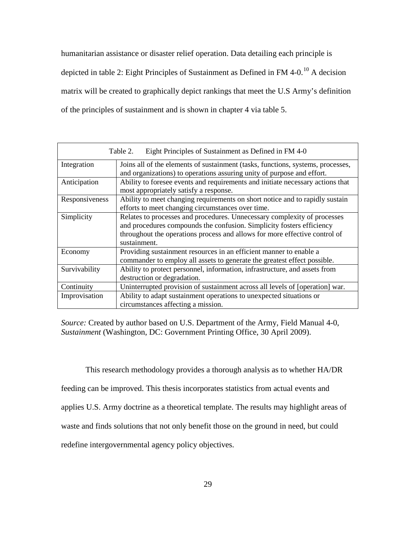humanitarian assistance or disaster relief operation. Data detailing each principle is depicted in table 2: Eight Principles of Sustainment as Defined in FM 4-0.<sup>[10](#page-56-0)</sup> A decision matrix will be created to graphically depict rankings that meet the U.S Army's definition of the principles of sustainment and is shown in chapter 4 via table 5.

|                | Eight Principles of Sustainment as Defined in FM 4-0<br>Table 2.                                                                                                                                                                                |  |  |
|----------------|-------------------------------------------------------------------------------------------------------------------------------------------------------------------------------------------------------------------------------------------------|--|--|
| Integration    | Joins all of the elements of sustainment (tasks, functions, systems, processes,<br>and organizations) to operations assuring unity of purpose and effort.                                                                                       |  |  |
| Anticipation   | Ability to foresee events and requirements and initiate necessary actions that<br>most appropriately satisfy a response.                                                                                                                        |  |  |
| Responsiveness | Ability to meet changing requirements on short notice and to rapidly sustain<br>efforts to meet changing circumstances over time.                                                                                                               |  |  |
| Simplicity     | Relates to processes and procedures. Unnecessary complexity of processes<br>and procedures compounds the confusion. Simplicity fosters efficiency<br>throughout the operations process and allows for more effective control of<br>sustainment. |  |  |
| Economy        | Providing sustainment resources in an efficient manner to enable a<br>commander to employ all assets to generate the greatest effect possible.                                                                                                  |  |  |
| Survivability  | Ability to protect personnel, information, infrastructure, and assets from<br>destruction or degradation.                                                                                                                                       |  |  |
| Continuity     | Uninterrupted provision of sustainment across all levels of [operation] war.                                                                                                                                                                    |  |  |
| Improvisation  | Ability to adapt sustainment operations to unexpected situations or<br>circumstances affecting a mission.                                                                                                                                       |  |  |

*Source:* Created by author based on U.S. Department of the Army, Field Manual 4-0, *Sustainment* (Washington, DC: Government Printing Office, 30 April 2009).

This research methodology provides a thorough analysis as to whether HA/DR

feeding can be improved. This thesis incorporates statistics from actual events and

applies U.S. Army doctrine as a theoretical template. The results may highlight areas of

waste and finds solutions that not only benefit those on the ground in need, but could

redefine intergovernmental agency policy objectives.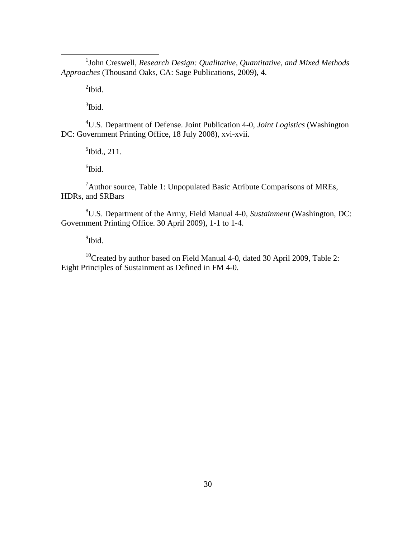<u>1</u> <sup>1</sup>John Creswell, *Research Design: Qualitative, Quantitative, and Mixed Methods Approaches* (Thousand Oaks, CA: Sage Publications, 2009), 4.

 $\mathrm{^{2}Ibid.}$ 

 $3$ Ibid.

4 U.S. Department of Defense. Joint Publication 4-0, *Joint Logistics* (Washington DC: Government Printing Office, 18 July 2008), xvi-xvii.

<sup>5</sup>Ibid., 211.

 ${}^{6}$ Ibid.

<sup>7</sup> Author source, Table 1: Unpopulated Basic Atribute Comparisons of MREs, HDRs, and SRBars

8 U.S. Department of the Army, Field Manual 4-0, *Sustainment* (Washington, DC: Government Printing Office. 30 April 2009), 1-1 to 1-4.

<sup>9</sup>Ibid.

 $10$ <sup>10</sup>Created by author based on Field Manual 4-0, dated 30 April 2009, Table 2: Eight Principles of Sustainment as Defined in FM 4-0.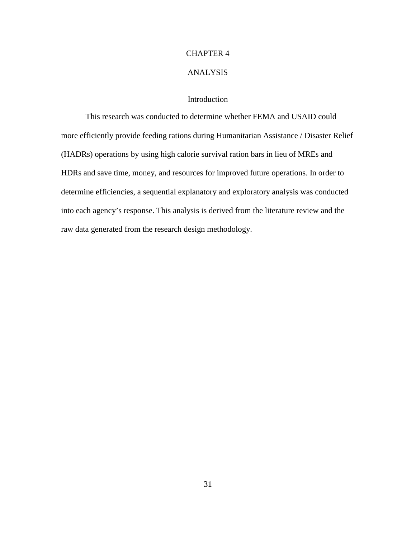# CHAPTER 4

## ANALYSIS

# Introduction

This research was conducted to determine whether FEMA and USAID could more efficiently provide feeding rations during Humanitarian Assistance / Disaster Relief (HADRs) operations by using high calorie survival ration bars in lieu of MREs and HDRs and save time, money, and resources for improved future operations. In order to determine efficiencies, a sequential explanatory and exploratory analysis was conducted into each agency's response. This analysis is derived from the literature review and the raw data generated from the research design methodology.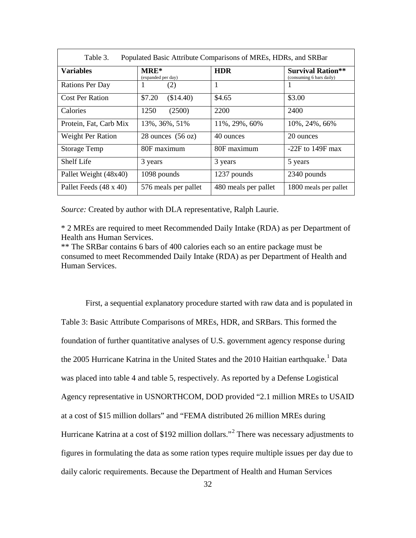| <b>Variables</b>       | <b>MRE*</b><br>(expanded per day) | <b>HDR</b>           | <b>Survival Ration**</b><br>(consuming 6 bars daily) |
|------------------------|-----------------------------------|----------------------|------------------------------------------------------|
| <b>Rations Per Day</b> | (2)                               | 1                    |                                                      |
| <b>Cost Per Ration</b> | \$7.20<br>(\$14.40)               | \$4.65               | \$3.00                                               |
| Calories               | (2500)<br>1250                    | 2200                 | 2400                                                 |
| Protein, Fat, Carb Mix | 13%, 36%, 51%                     | 11%, 29%, 60%        | 10%, 24%, 66%                                        |
| Weight Per Ration      | 28 ounces $(56 oz)$               | 40 ounces            | 20 ounces                                            |
| <b>Storage Temp</b>    | 80F maximum                       | 80F maximum          | $-22F$ to 149F max                                   |
| <b>Shelf Life</b>      | 3 years                           | 3 years              | 5 years                                              |
| Pallet Weight (48x40)  | 1098 pounds                       | 1237 pounds          | 2340 pounds                                          |
| Pallet Feeds (48 x 40) | 576 meals per pallet              | 480 meals per pallet | 1800 meals per pallet                                |

*Source:* Created by author with DLA representative, Ralph Laurie.

\* 2 MREs are required to meet Recommended Daily Intake (RDA) as per Department of Health ans Human Services.

\*\* The SRBar contains 6 bars of 400 calories each so an entire package must be consumed to meet Recommended Daily Intake (RDA) as per Department of Health and Human Services.

First, a sequential explanatory procedure started with raw data and is populated in Table 3: Basic Attribute Comparisons of MREs, HDR, and SRBars. This formed the foundation of further quantitative analyses of U.S. government agency response during the 2005 Hurricane Katrina in the United States and the 20[1](#page-72-0)0 Haitian earthquake.<sup>1</sup> Data was placed into table 4 and table 5, respectively. As reported by a Defense Logistical Agency representative in USNORTHCOM, DOD provided "2.1 million MREs to USAID at a cost of \$15 million dollars" and "FEMA distributed 26 million MREs during Hurricane Katrina at a cost of \$192 million dollars."[2](#page-72-1) There was necessary adjustments to figures in formulating the data as some ration types require multiple issues per day due to daily caloric requirements. Because the Department of Health and Human Services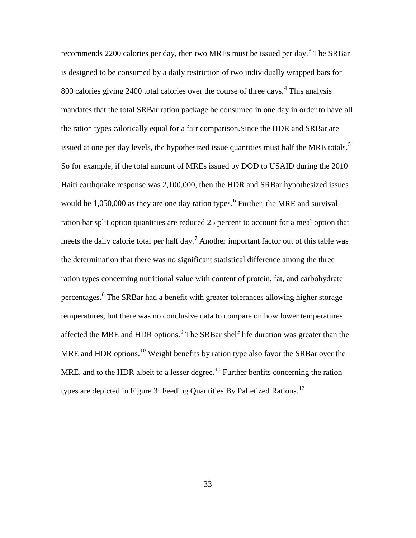recommends 2200 calories per day, then two MREs must be issued per day.<sup>[3](#page-72-2)</sup> The SRBar is designed to be consumed by a daily restriction of two individually wrapped bars for 800 calories giving 2[4](#page-72-3)00 total calories over the course of three days.<sup>4</sup> This analysis mandates that the total SRBar ration package be consumed in one day in order to have all the ration types calorically equal for a fair comparison.Since the HDR and SRBar are issued at one per day levels, the hypothesized issue quantities must half the MRE totals.<sup>[5](#page-72-4)</sup> So for example, if the total amount of MREs issued by DOD to USAID during the 2010 Haiti earthquake response was 2,100,000, then the HDR and SRBar hypothesized issues would be  $1,050,000$  as they are one day ration types.<sup>[6](#page-72-5)</sup> Further, the MRE and survival ration bar split option quantities are reduced 25 percent to account for a meal option that meets the daily calorie total per half day.<sup>[7](#page-72-6)</sup> Another important factor out of this table was the determination that there was no significant statistical difference among the three ration types concerning nutritional value with content of protein, fat, and carbohydrate percentages.[8](#page-72-7) The SRBar had a benefit with greater tolerances allowing higher storage temperatures, but there was no conclusive data to compare on how lower temperatures affected the MRE and HDR options.<sup>[9](#page-72-8)</sup> The SRBar shelf life duration was greater than the MRE and HDR options.<sup>[10](#page-72-9)</sup> Weight benefits by ration type also favor the SRBar over the MRE, and to the HDR albeit to a lesser degree.<sup>[11](#page-72-10)</sup> Further benfits concerning the ration types are depicted in Figure 3: Feeding Quantities By Palletized Rations.<sup>[12](#page-72-11)</sup>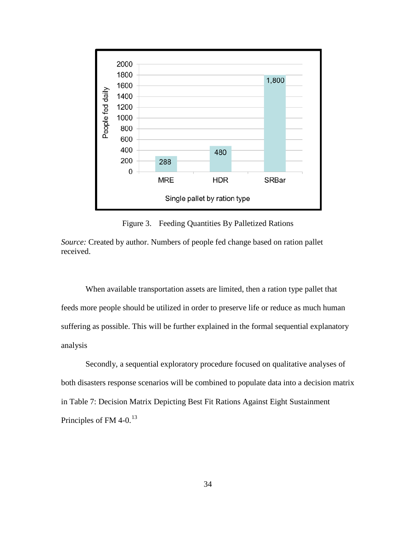

Figure 3. Feeding Quantities By Palletized Rations

*Source:* Created by author. Numbers of people fed change based on ration pallet received.

When available transportation assets are limited, then a ration type pallet that feeds more people should be utilized in order to preserve life or reduce as much human suffering as possible. This will be further explained in the formal sequential explanatory analysis

Secondly, a sequential exploratory procedure focused on qualitative analyses of both disasters response scenarios will be combined to populate data into a decision matrix in Table 7: Decision Matrix Depicting Best Fit Rations Against Eight Sustainment Principles of FM 4-0.<sup>[13](#page-72-12)</sup>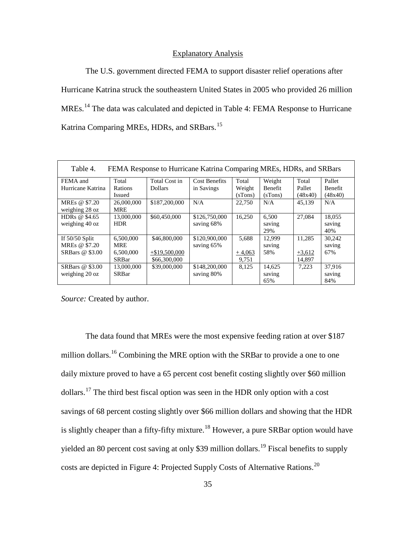#### Explanatory Analysis

The U.S. government directed FEMA to support disaster relief operations after Hurricane Katrina struck the southeastern United States in 2005 who provided 26 million MREs.<sup>[14](#page-72-13)</sup> The data was calculated and depicted in Table 4: FEMA Response to Hurricane Katrina Comparing MREs, HDRs, and SRBars.<sup>[15](#page-72-14)</sup>

| Table 4.<br>FEMA Response to Hurricane Katrina Comparing MREs, HDRs, and SRBars |               |                  |                      |          |                |          |                |
|---------------------------------------------------------------------------------|---------------|------------------|----------------------|----------|----------------|----------|----------------|
| FEMA and                                                                        | Total         | Total Cost in    | <b>Cost Benefits</b> | Total    | Weight         | Total    | Pallet         |
| Hurricane Katrina                                                               | Rations       | <b>Dollars</b>   | in Savings           | Weight   | <b>Benefit</b> | Pallet   | <b>Benefit</b> |
|                                                                                 | <b>Issued</b> |                  |                      | (sTons)  | (sTons)        | (48x40)  | (48x40)        |
| MREs @ \$7.20                                                                   | 26,000,000    | \$187,200,000    | N/A                  | 22,750   | N/A            | 45,139   | N/A            |
| weighing 28 oz                                                                  | <b>MRE</b>    |                  |                      |          |                |          |                |
| HDR <sub>s</sub> @ \$4.65                                                       | 13,000,000    | \$60,450,000     | \$126,750,000        | 16.250   | 6.500          | 27.084   | 18,055         |
| weighing 40 oz                                                                  | <b>HDR</b>    |                  | saving 68%           |          | saving         |          | saving         |
|                                                                                 |               |                  |                      |          | 29%            |          | 40%            |
| If $50/50$ Split                                                                | 6.500,000     | \$46,800,000     | \$120,900,000        | 5.688    | 12.999         | 11.285   | 30.242         |
| MREs @ \$7.20                                                                   | <b>MRE</b>    |                  | saving 65%           |          | saving         |          | saving         |
| SRBars @ \$3.00                                                                 | 6,500,000     | $+$ \$19,500,000 |                      | $+4,063$ | 58%            | $+3,612$ | 67%            |
|                                                                                 | <b>SRBar</b>  | \$66,300,000     |                      | 9.751    |                | 14.897   |                |
| SRBars @ \$3.00                                                                 | 13,000,000    | \$39,000,000     | \$148,200,000        | 8,125    | 14,625         | 7.223    | 37.916         |
| weighing 20 oz                                                                  | <b>SRBar</b>  |                  | saving 80%           |          | saving         |          | saving         |
|                                                                                 |               |                  |                      |          | 65%            |          | 84%            |

*Source:* Created by author.

The data found that MREs were the most expensive feeding ration at over \$187 million dollars.<sup>[16](#page-72-15)</sup> Combining the MRE option with the SRBar to provide a one to one daily mixture proved to have a 65 percent cost benefit costing slightly over \$60 million dollars.[17](#page-72-16) The third best fiscal option was seen in the HDR only option with a cost savings of 68 percent costing slightly over \$66 million dollars and showing that the HDR is slightly cheaper than a fifty-fifty mixture.<sup>[18](#page-72-17)</sup> However, a pure SRBar option would have yielded an 80 percent cost saving at only \$39 million dollars.<sup>[19](#page-72-18)</sup> Fiscal benefits to supply costs are depicted in Figure 4: Projected Supply Costs of Alternative Rations.[20](#page-72-19)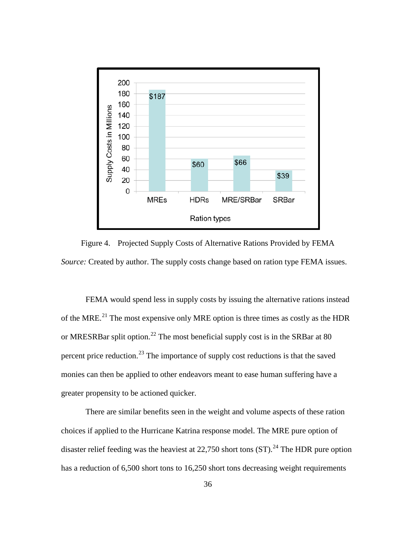

Figure 4. Projected Supply Costs of Alternative Rations Provided by FEMA *Source:* Created by author. The supply costs change based on ration type FEMA issues.

FEMA would spend less in supply costs by issuing the alternative rations instead of the MRE.<sup>[21](#page-72-20)</sup> The most expensive only MRE option is three times as costly as the HDR or MRESRBar split option.<sup>[22](#page-72-21)</sup> The most beneficial supply cost is in the SRBar at 80 percent price reduction.<sup>[23](#page-72-22)</sup> The importance of supply cost reductions is that the saved monies can then be applied to other endeavors meant to ease human suffering have a greater propensity to be actioned quicker.

There are similar benefits seen in the weight and volume aspects of these ration choices if applied to the Hurricane Katrina response model. The MRE pure option of disaster relief feeding was the heaviest at  $22,750$  short tons  $(ST)$ .<sup>[24](#page-72-2)</sup> The HDR pure option has a reduction of 6,500 short tons to 16,250 short tons decreasing weight requirements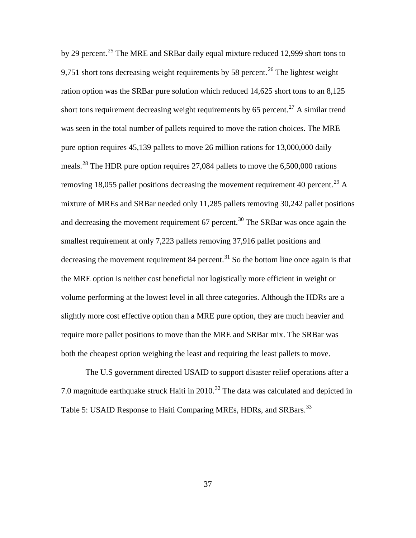by 29 percent.<sup>[25](#page-72-23)</sup> The MRE and SRBar daily equal mixture reduced 12,999 short tons to 9,751 short tons decreasing weight requirements by 58 percent.<sup>[26](#page-72-24)</sup> The lightest weight ration option was the SRBar pure solution which reduced 14,625 short tons to an 8,125 short tons requirement decreasing weight requirements by 65 percent.<sup>[27](#page-72-25)</sup> A similar trend was seen in the total number of pallets required to move the ration choices. The MRE pure option requires 45,139 pallets to move 26 million rations for 13,000,000 daily meals.[28](#page-72-26) The HDR pure option requires 27,084 pallets to move the 6,500,000 rations removing 18,055 pallet positions decreasing the movement requirement 40 percent.<sup>[29](#page-72-27)</sup> A mixture of MREs and SRBar needed only 11,285 pallets removing 30,242 pallet positions and decreasing the movement requirement  $67$  percent.<sup>[30](#page-72-28)</sup> The SRBar was once again the smallest requirement at only 7,223 pallets removing 37,916 pallet positions and decreasing the movement requirement 84 percent.<sup>[31](#page-72-29)</sup> So the bottom line once again is that the MRE option is neither cost beneficial nor logistically more efficient in weight or volume performing at the lowest level in all three categories. Although the HDRs are a slightly more cost effective option than a MRE pure option, they are much heavier and require more pallet positions to move than the MRE and SRBar mix. The SRBar was both the cheapest option weighing the least and requiring the least pallets to move.

The U.S government directed USAID to support disaster relief operations after a 7.0 magnitude earthquake struck Haiti in  $2010$ .<sup>[32](#page-72-30)</sup> The data was calculated and depicted in Table 5: USAID Response to Haiti Comparing MREs, HDRs, and SRBars.<sup>[33](#page-72-31)</sup>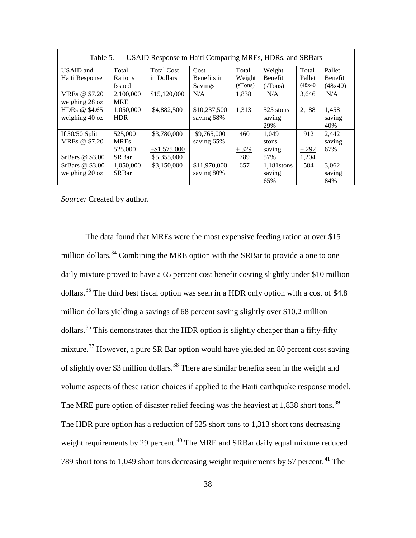| USAID Response to Haiti Comparing MREs, HDRs, and SRBars<br>Table 5. |                |                   |              |         |                |         |                |
|----------------------------------------------------------------------|----------------|-------------------|--------------|---------|----------------|---------|----------------|
| USAID and                                                            | Total          | <b>Total Cost</b> | Cost         | Total   | Weight         | Total   | Pallet         |
| Haiti Response                                                       | <b>Rations</b> | in Dollars        | Benefits in  | Weight  | <b>Benefit</b> | Pallet  | <b>Benefit</b> |
|                                                                      | Issued         |                   | Savings      | (sTons) | (sTons)        | (48x40) | (48x40)        |
| MREs @ \$7.20                                                        | 2,100,000      | \$15,120,000      | N/A          | 1,838   | N/A            | 3,646   | N/A            |
| weighing 28 oz                                                       | <b>MRE</b>     |                   |              |         |                |         |                |
| HDR <sub>s</sub> @ \$4.65                                            | 1,050,000      | \$4,882,500       | \$10,237,500 | 1.313   | 525 stons      | 2,188   | 1,458          |
| weighing 40 oz                                                       | <b>HDR</b>     |                   | saving 68%   |         | saving         |         | saving         |
|                                                                      |                |                   |              |         | 29%            |         | 40%            |
| If $50/50$ Split                                                     | 525,000        | \$3,780,000       | \$9,765,000  | 460     | 1.049          | 912     | 2,442          |
| MREs @ \$7.20                                                        | <b>MREs</b>    |                   | saving 65%   |         | stons          |         | saving         |
|                                                                      | 525,000        | $+\$1,575,000$    |              | $+329$  | saving         | $+292$  | 67%            |
| SrBars @ \$3.00                                                      | <b>SRBar</b>   | \$5,355,000       |              | 789     | 57%            | 1,204   |                |
| SrBars $@$ \$3.00                                                    | 1,050,000      | \$3,150,000       | \$11,970,000 | 657     | 1,181stons     | 584     | 3,062          |
| weighing 20 oz                                                       | <b>SRBar</b>   |                   | saving 80%   |         | saving         |         | saving         |
|                                                                      |                |                   |              |         | 65%            |         | 84%            |

*Source:* Created by author.

The data found that MREs were the most expensive feeding ration at over \$15 million dollars.<sup>[34](#page-72-12)</sup> Combining the MRE option with the SRBar to provide a one to one daily mixture proved to have a 65 percent cost benefit costing slightly under \$10 million dollars.<sup>[35](#page-72-32)</sup> The third best fiscal option was seen in a HDR only option with a cost of \$4.8 million dollars yielding a savings of 68 percent saving slightly over \$10.2 million dollars.<sup>[36](#page-72-33)</sup> This demonstrates that the HDR option is slightly cheaper than a fifty-fifty mixture.<sup>[37](#page-72-34)</sup> However, a pure SR Bar option would have yielded an 80 percent cost saving of slightly over \$3 million dollars.<sup>[38](#page-72-35)</sup> There are similar benefits seen in the weight and volume aspects of these ration choices if applied to the Haiti earthquake response model. The MRE pure option of disaster relief feeding was the heaviest at 1,838 short tons.<sup>[39](#page-72-36)</sup> The HDR pure option has a reduction of 525 short tons to 1,313 short tons decreasing weight requirements by 29 percent.<sup>[40](#page-72-37)</sup> The MRE and SRBar daily equal mixture reduced 789 short tons to 1,049 short tons decreasing weight requirements by 57 percent.<sup>[41](#page-72-38)</sup> The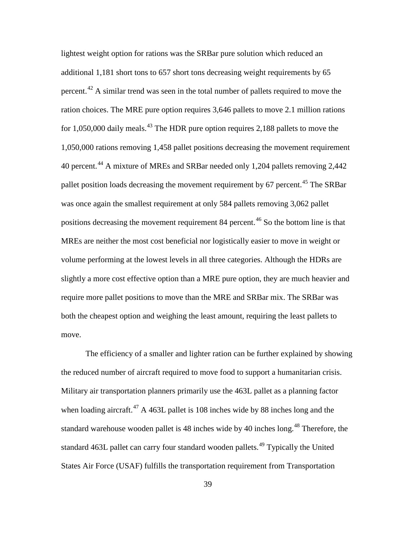lightest weight option for rations was the SRBar pure solution which reduced an additional 1,181 short tons to 657 short tons decreasing weight requirements by 65 percent.<sup>[42](#page-72-39)</sup> A similar trend was seen in the total number of pallets required to move the ration choices. The MRE pure option requires 3,646 pallets to move 2.1 million rations for  $1,050,000$  daily meals.<sup>[43](#page-72-40)</sup> The HDR pure option requires 2,188 pallets to move the 1,050,000 rations removing 1,458 pallet positions decreasing the movement requirement 40 percent.[44](#page-72-41) A mixture of MREs and SRBar needed only 1,204 pallets removing 2,442 pallet position loads decreasing the movement requirement by 67 percent.<sup>[45](#page-72-42)</sup> The SRBar was once again the smallest requirement at only 584 pallets removing 3,062 pallet positions decreasing the movement requirement 84 percent.<sup>[46](#page-72-2)</sup> So the bottom line is that MREs are neither the most cost beneficial nor logistically easier to move in weight or volume performing at the lowest levels in all three categories. Although the HDRs are slightly a more cost effective option than a MRE pure option, they are much heavier and require more pallet positions to move than the MRE and SRBar mix. The SRBar was both the cheapest option and weighing the least amount, requiring the least pallets to move.

The efficiency of a smaller and lighter ration can be further explained by showing the reduced number of aircraft required to move food to support a humanitarian crisis. Military air transportation planners primarily use the 463L pallet as a planning factor when loading aircraft. $^{47}$  $^{47}$  $^{47}$  A 463L pallet is 108 inches wide by 88 inches long and the standard warehouse wooden pallet is [48](#page-72-44) inches wide by 40 inches long.<sup>48</sup> Therefore, the standard 463L pallet can carry four standard wooden pallets.<sup>[49](#page-72-45)</sup> Typically the United States Air Force (USAF) fulfills the transportation requirement from Transportation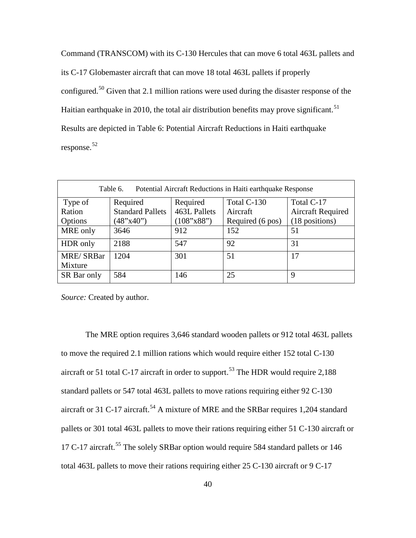Command (TRANSCOM) with its C-130 Hercules that can move 6 total 463L pallets and its C-17 Globemaster aircraft that can move 18 total 463L pallets if properly configured.<sup>[50](#page-72-46)</sup> Given that 2.1 million rations were used during the disaster response of the Haitian earthquake in 2010, the total air distribution benefits may prove significant.<sup>[51](#page-72-47)</sup> Results are depicted in Table 6: Potential Aircraft Reductions in Haiti earthquake response.[52](#page-72-48)

| Table 6.<br>Potential Aircraft Reductions in Haiti earthquake Response |                         |              |                  |                          |
|------------------------------------------------------------------------|-------------------------|--------------|------------------|--------------------------|
| Type of                                                                | Required                | Required     | Total C-130      | Total C-17               |
| Ration                                                                 | <b>Standard Pallets</b> | 463L Pallets | Aircraft         | <b>Aircraft Required</b> |
| Options                                                                | (48"x40")               | (108"x88")   | Required (6 pos) | (18 positions)           |
| MRE only                                                               | 3646                    | 912          | 152              | 51                       |
| HDR only                                                               | 2188                    | 547          | 92               | 31                       |
| <b>MRE/SRBar</b>                                                       | 1204                    | 301          | 51               | 17                       |
| Mixture                                                                |                         |              |                  |                          |
| SR Bar only                                                            | 584                     | 146          | 25               | 9                        |

*Source:* Created by author.

The MRE option requires 3,646 standard wooden pallets or 912 total 463L pallets to move the required 2.1 million rations which would require either 152 total C-130 aircraft or 51 total C-17 aircraft in order to support.<sup>[53](#page-72-9)</sup> The HDR would require 2,188 standard pallets or 547 total 463L pallets to move rations requiring either 92 C-130 aircraft or 31 C-17 aircraft.<sup>[54](#page-72-10)</sup> A mixture of MRE and the SRBar requires 1,204 standard pallets or 301 total 463L pallets to move their rations requiring either 51 C-130 aircraft or 17 C-17 aircraft.<sup>[55](#page-72-11)</sup> The solely SRBar option would require 584 standard pallets or 146 total 463L pallets to move their rations requiring either 25 C-130 aircraft or 9 C-17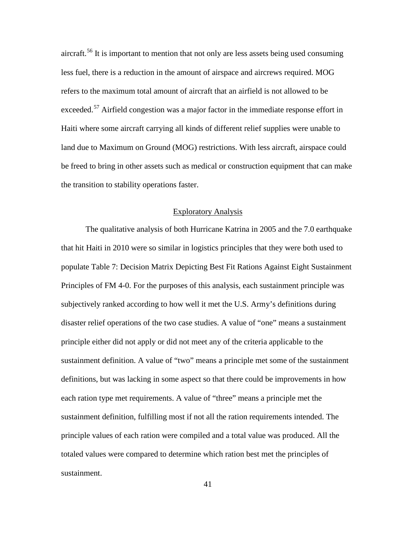aircraft.<sup>[56](#page-72-12)</sup> It is important to mention that not only are less assets being used consuming less fuel, there is a reduction in the amount of airspace and aircrews required. MOG refers to the maximum total amount of aircraft that an airfield is not allowed to be exceeded.<sup>[57](#page-72-32)</sup> Airfield congestion was a major factor in the immediate response effort in Haiti where some aircraft carrying all kinds of different relief supplies were unable to land due to Maximum on Ground (MOG) restrictions. With less aircraft, airspace could be freed to bring in other assets such as medical or construction equipment that can make the transition to stability operations faster.

## Exploratory Analysis

The qualitative analysis of both Hurricane Katrina in 2005 and the 7.0 earthquake that hit Haiti in 2010 were so similar in logistics principles that they were both used to populate Table 7: Decision Matrix Depicting Best Fit Rations Against Eight Sustainment Principles of FM 4-0. For the purposes of this analysis, each sustainment principle was subjectively ranked according to how well it met the U.S. Army's definitions during disaster relief operations of the two case studies. A value of "one" means a sustainment principle either did not apply or did not meet any of the criteria applicable to the sustainment definition. A value of "two" means a principle met some of the sustainment definitions, but was lacking in some aspect so that there could be improvements in how each ration type met requirements. A value of "three" means a principle met the sustainment definition, fulfilling most if not all the ration requirements intended. The principle values of each ration were compiled and a total value was produced. All the totaled values were compared to determine which ration best met the principles of sustainment.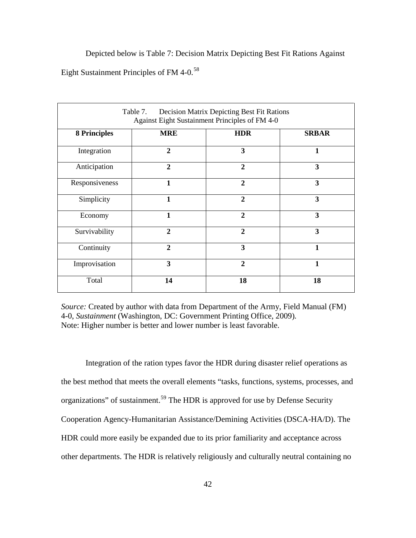Depicted below is Table 7: Decision Matrix Depicting Best Fit Rations Against Eight Sustainment Principles of FM 4-0.[58](#page-72-49)

| Table 7.<br>Decision Matrix Depicting Best Fit Rations<br>Against Eight Sustainment Principles of FM 4-0 |                |                |                         |  |
|----------------------------------------------------------------------------------------------------------|----------------|----------------|-------------------------|--|
| <b>8 Principles</b>                                                                                      | <b>MRE</b>     | <b>HDR</b>     | <b>SRBAR</b>            |  |
| Integration                                                                                              | $\overline{2}$ | 3              | $\mathbf{1}$            |  |
| Anticipation                                                                                             | $\overline{2}$ | $\overline{2}$ | 3                       |  |
| Responsiveness                                                                                           | 1              | $\overline{2}$ | 3                       |  |
| Simplicity                                                                                               | 1              | $\overline{2}$ | 3                       |  |
| Economy                                                                                                  | $\mathbf{1}$   | $\overline{2}$ | $\overline{\mathbf{3}}$ |  |
| Survivability                                                                                            | $\overline{2}$ | $\overline{2}$ | 3                       |  |
| Continuity                                                                                               | $\overline{2}$ | 3              | $\mathbf{1}$            |  |
| Improvisation                                                                                            | 3              | $\overline{2}$ | $\mathbf{1}$            |  |
| Total                                                                                                    | 14             | 18             | 18                      |  |

*Source:* Created by author with data from Department of the Army, Field Manual (FM) 4-0, *Sustainment* (Washington, DC: Government Printing Office, 2009)*.* Note: Higher number is better and lower number is least favorable.

Integration of the ration types favor the HDR during disaster relief operations as the best method that meets the overall elements "tasks, functions, systems, processes, and organizations" of sustainment.<sup>[59](#page-72-50)</sup> The HDR is approved for use by Defense Security Cooperation Agency-Humanitarian Assistance/Demining Activities (DSCA-HA/D). The HDR could more easily be expanded due to its prior familiarity and acceptance across other departments. The HDR is relatively religiously and culturally neutral containing no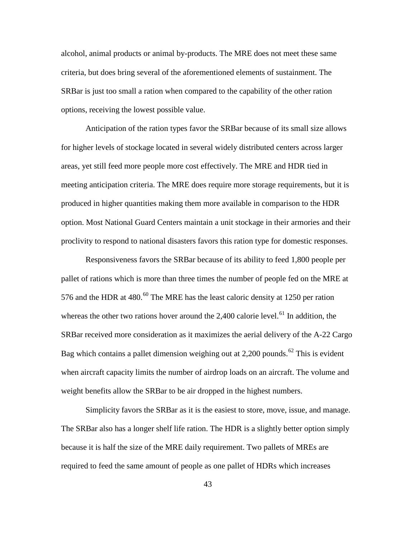alcohol, animal products or animal by-products. The MRE does not meet these same criteria, but does bring several of the aforementioned elements of sustainment. The SRBar is just too small a ration when compared to the capability of the other ration options, receiving the lowest possible value.

Anticipation of the ration types favor the SRBar because of its small size allows for higher levels of stockage located in several widely distributed centers across larger areas, yet still feed more people more cost effectively. The MRE and HDR tied in meeting anticipation criteria. The MRE does require more storage requirements, but it is produced in higher quantities making them more available in comparison to the HDR option. Most National Guard Centers maintain a unit stockage in their armories and their proclivity to respond to national disasters favors this ration type for domestic responses.

Responsiveness favors the SRBar because of its ability to feed 1,800 people per pallet of rations which is more than three times the number of people fed on the MRE at 576 and the HDR at  $480.60$  $480.60$  The MRE has the least caloric density at 1250 per ration whereas the other two rations hover around the  $2,400$  calorie level.<sup>[61](#page-72-52)</sup> In addition, the SRBar received more consideration as it maximizes the aerial delivery of the A-22 Cargo Bag which contains a pallet dimension weighing out at  $2,200$  pounds.<sup>[62](#page-72-53)</sup> This is evident when aircraft capacity limits the number of airdrop loads on an aircraft. The volume and weight benefits allow the SRBar to be air dropped in the highest numbers.

Simplicity favors the SRBar as it is the easiest to store, move, issue, and manage. The SRBar also has a longer shelf life ration. The HDR is a slightly better option simply because it is half the size of the MRE daily requirement. Two pallets of MREs are required to feed the same amount of people as one pallet of HDRs which increases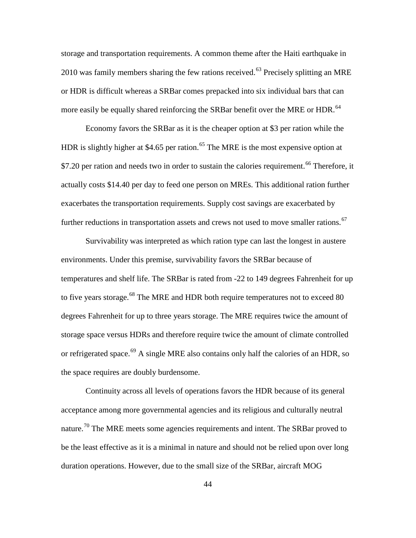storage and transportation requirements. A common theme after the Haiti earthquake in  $2010$  was family members sharing the few rations received.<sup>[63](#page-72-54)</sup> Precisely splitting an MRE or HDR is difficult whereas a SRBar comes prepacked into six individual bars that can more easily be equally shared reinforcing the SRBar benefit over the MRE or HDR.<sup>[64](#page-72-2)</sup>

Economy favors the SRBar as it is the cheaper option at \$3 per ration while the HDR is slightly higher at \$4.[65](#page-72-23) per ration.<sup>65</sup> The MRE is the most expensive option at \$7.20 per ration and needs two in order to sustain the calories requirement.<sup>[66](#page-72-24)</sup> Therefore, it actually costs \$14.40 per day to feed one person on MREs. This additional ration further exacerbates the transportation requirements. Supply cost savings are exacerbated by further reductions in transportation assets and crews not used to move smaller rations.<sup>[67](#page-72-25)</sup>

Survivability was interpreted as which ration type can last the longest in austere environments. Under this premise, survivability favors the SRBar because of temperatures and shelf life. The SRBar is rated from -22 to 149 degrees Fahrenheit for up to five years storage.<sup>[68](#page-72-26)</sup> The MRE and HDR both require temperatures not to exceed 80 degrees Fahrenheit for up to three years storage. The MRE requires twice the amount of storage space versus HDRs and therefore require twice the amount of climate controlled or refrigerated space.<sup>[69](#page-72-27)</sup> A single MRE also contains only half the calories of an HDR, so the space requires are doubly burdensome.

Continuity across all levels of operations favors the HDR because of its general acceptance among more governmental agencies and its religious and culturally neutral nature.<sup>[70](#page-72-28)</sup> The MRE meets some agencies requirements and intent. The SRBar proved to be the least effective as it is a minimal in nature and should not be relied upon over long duration operations. However, due to the small size of the SRBar, aircraft MOG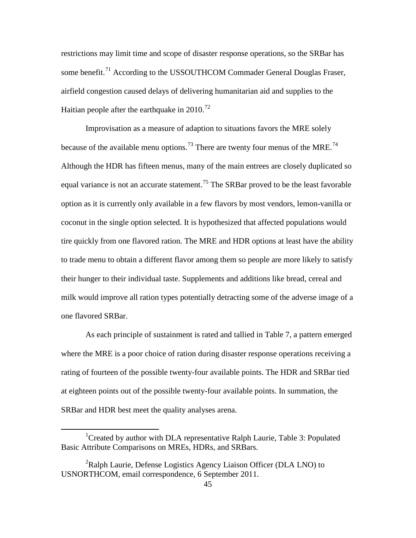restrictions may limit time and scope of disaster response operations, so the SRBar has some benefit.<sup>[71](#page-72-55)</sup> According to the USSOUTHCOM Commader General Douglas Fraser, airfield congestion caused delays of delivering humanitarian aid and supplies to the Haitian people after the earthquake in  $2010^{72}$  $2010^{72}$  $2010^{72}$ 

Improvisation as a measure of adaption to situations favors the MRE solely because of the available menu options.<sup>[73](#page-72-57)</sup> There are twenty four menus of the MRE.<sup>[74](#page-72-58)</sup> Although the HDR has fifteen menus, many of the main entrees are closely duplicated so equal variance is not an accurate statement.<sup>[75](#page-72-59)</sup> The SRBar proved to be the least favorable option as it is currently only available in a few flavors by most vendors, lemon-vanilla or coconut in the single option selected. It is hypothesized that affected populations would tire quickly from one flavored ration. The MRE and HDR options at least have the ability to trade menu to obtain a different flavor among them so people are more likely to satisfy their hunger to their individual taste. Supplements and additions like bread, cereal and milk would improve all ration types potentially detracting some of the adverse image of a one flavored SRBar.

As each principle of sustainment is rated and tallied in Table 7, a pattern emerged where the MRE is a poor choice of ration during disaster response operations receiving a rating of fourteen of the possible twenty-four available points. The HDR and SRBar tied at eighteen points out of the possible twenty-four available points. In summation, the SRBar and HDR best meet the quality analyses arena.

<sup>&</sup>lt;u>1</u> <sup>1</sup>Created by author with DLA representative Ralph Laurie, Table 3: Populated Basic Attribute Comparisons on MREs, HDRs, and SRBars.

<sup>&</sup>lt;sup>2</sup>Ralph Laurie, Defense Logistics Agency Liaison Officer (DLA LNO) to USNORTHCOM, email correspondence, 6 September 2011.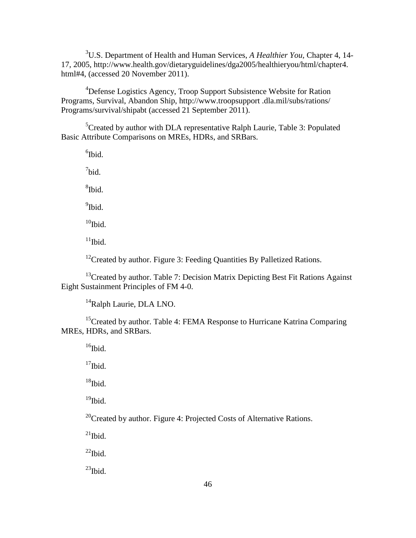3 U.S. Department of Health and Human Services, *A Healthier You,* Chapter 4, 14- 17, 2005, http://www.health.gov/dietaryguidelines/dga2005/healthieryou/html/chapter4. html#4, (accessed 20 November 2011).

<sup>4</sup>Defense Logistics Agency, Troop Support Subsistence Website for Ration Programs, Survival, Abandon Ship, http://www.troopsupport .dla.mil/subs/rations/ Programs/survival/shipabt (accessed 21 September 2011).

<span id="page-55-0"></span><sup>5</sup>Created by author with DLA representative Ralph Laurie, Table 3: Populated Basic Attribute Comparisons on MREs, HDRs, and SRBars.

6 Ibid.

 $7$ bid.

8 Ibid.

<sup>9</sup>Ibid.

<span id="page-55-1"></span> $10$ Ibid.

 $11$ Ibid.

 $12$ Created by author. Figure 3: Feeding Quantities By Palletized Rations.

<span id="page-55-2"></span> $13$ Created by author. Table 7: Decision Matrix Depicting Best Fit Rations Against Eight Sustainment Principles of FM 4-0.

<sup>14</sup>Ralph Laurie, DLA LNO.

<sup>15</sup>Created by author. Table 4: FEMA Response to Hurricane Katrina Comparing MREs, HDRs, and SRBars.

 $16$ Ibid.

 $17$ Ibid.

 $18$ Ibid.

 $19$ Ibid.

<sup>20</sup>Created by author. Figure 4: Projected Costs of Alternative Rations.

 $^{21}$ Ibid.

 $^{22}$ Ibid.

 $^{23}$ Ibid.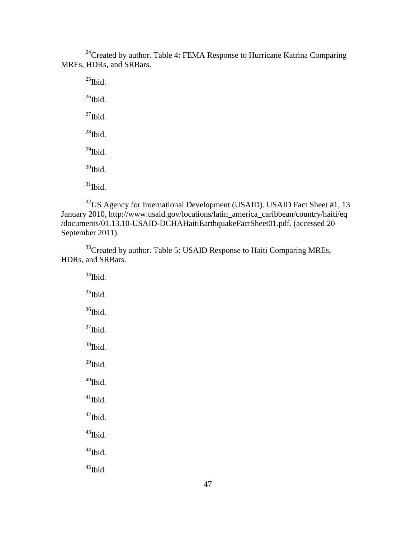$24$ Created by author. Table 4: FEMA Response to Hurricane Katrina Comparing MREs, HDRs, and SRBars.

 $^{25}$ Ibid.  $^{26}$ Ibid.  $^{27}$ Ibid.  $28$ Ibid.  $^{29}$ Ibid.  $30$ Ibid.  $31$ Ibid.

<sup>32</sup>US Agency for International Development (USAID). USAID Fact Sheet #1, 13 January 2010, http://www.usaid.gov/locations/latin\_america\_caribbean/country/haiti/eq /documents/01.13.10-USAID-DCHAHaitiEarthquakeFactSheet01.pdf. (accessed 20 September 2011).

<span id="page-56-0"></span><sup>33</sup>Created by author. Table 5: USAID Response to Haiti Comparing MREs, HDRs, and SRBars.

 $34$ Ibid.  $35$ Ibid.  $36$ Ibid.  $37$ Ibid. <sup>38</sup>Ibid.  $39$ Ibid.  $40$ Ibid.  $\rm ^{41}Ibid.$  $42$ Ibid.  $43$ Ibid.  $44$ Ibid.

 $45$ Ibid.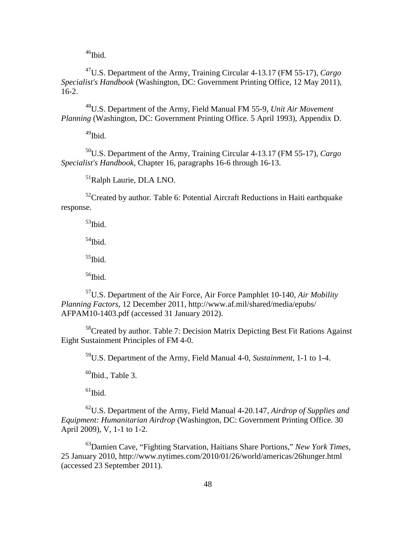<sup>46</sup>Ibid.

47U.S. Department of the Army, Training Circular 4-13.17 (FM 55-17), *Cargo Specialist's Handbook* (Washington, DC: Government Printing Office, 12 May 2011), 16-2.

48U.S. Department of the Army, Field Manual FM 55-9, *Unit Air Movement Planning* (Washington, DC: Government Printing Office. 5 April 1993), Appendix D.

49Ibid.

50U.S. Department of the Army, Training Circular 4-13.17 (FM 55-17), *Cargo Specialist's Handbook*, Chapter 16, paragraphs 16-6 through 16-13.

51Ralph Laurie, DLA LNO.

 $52$ Created by author. Table 6: Potential Aircraft Reductions in Haiti earthquake response.

 $53$ Ibid.

54Ibid.

 $55$ Ibid.

 $56$ Ibid.

57U.S. Department of the Air Force, Air Force Pamphlet 10-140, *Air Mobility Planning Factors,* 12 December 2011, http://www.af.mil/shared/media/epubs/ AFPAM10-1403.pdf (accessed 31 January 2012).

<sup>58</sup>Created by author. Table 7: Decision Matrix Depicting Best Fit Rations Against Eight Sustainment Principles of FM 4-0.

59U.S. Department of the Army, Field Manual 4-0, *Sustainment*, 1-1 to 1-4.

 $60$ Ibid., Table 3.

 $61$ Ibid.

62U.S. Department of the Army, Field Manual 4-20.147, *Airdrop of Supplies and Equipment: Humanitarian Airdrop* (Washington, DC: Government Printing Office. 30 April 2009), V, 1-1 to 1-2.

63Damien Cave, "Fighting Starvation, Haitians Share Portions," *New York Times,* 25 January 2010, http://www.nytimes.com/2010/01/26/world/americas/26hunger.html (accessed 23 September 2011).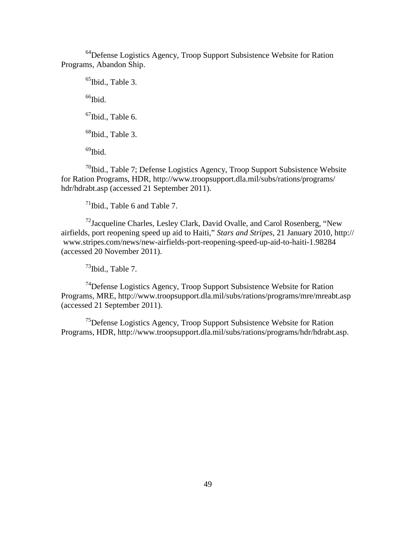<sup>64</sup>Defense Logistics Agency, Troop Support Subsistence Website for Ration Programs, Abandon Ship.

<sup>65</sup>Ibid., Table 3.  $66$ Ibid.  $67$ Ibid., Table 6.  $68$ Ibid., Table 3.  $^{69}$ Ibid.

 $70$ Ibid., Table 7; Defense Logistics Agency, Troop Support Subsistence Website for Ration Programs, HDR, http://www.troopsupport.dla.mil/subs/rations/programs/ hdr/hdrabt.asp (accessed 21 September 2011).

 $71$ Ibid., Table 6 and Table 7.

 $^{72}$ Jacqueline Charles, Lesley Clark, David Ovalle, and Carol Rosenberg, "New airfields, port reopening speed up aid to Haiti," *Stars and Stripes*, 21 January 2010, http:// www.stripes.com/news/new-airfields-port-reopening-speed-up-aid-to-haiti-1.98284 (accessed 20 November 2011).

 $^{73}$ Ibid., Table 7.

74Defense Logistics Agency, Troop Support Subsistence Website for Ration Programs, MRE, http://www.troopsupport.dla.mil/subs/rations/programs/mre/mreabt.asp (accessed 21 September 2011).

75Defense Logistics Agency, Troop Support Subsistence Website for Ration Programs, HDR, http://www.troopsupport.dla.mil/subs/rations/programs/hdr/hdrabt.asp.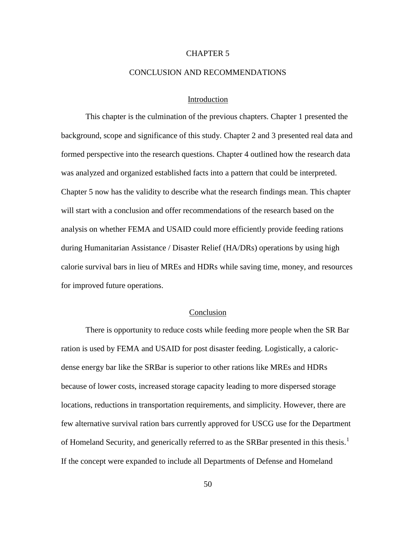## CHAPTER 5

#### CONCLUSION AND RECOMMENDATIONS

## Introduction

This chapter is the culmination of the previous chapters. Chapter 1 presented the background, scope and significance of this study. Chapter 2 and 3 presented real data and formed perspective into the research questions. Chapter 4 outlined how the research data was analyzed and organized established facts into a pattern that could be interpreted. Chapter 5 now has the validity to describe what the research findings mean. This chapter will start with a conclusion and offer recommendations of the research based on the analysis on whether FEMA and USAID could more efficiently provide feeding rations during Humanitarian Assistance / Disaster Relief (HA/DRs) operations by using high calorie survival bars in lieu of MREs and HDRs while saving time, money, and resources for improved future operations.

#### **Conclusion**

There is opportunity to reduce costs while feeding more people when the SR Bar ration is used by FEMA and USAID for post disaster feeding. Logistically, a caloricdense energy bar like the SRBar is superior to other rations like MREs and HDRs because of lower costs, increased storage capacity leading to more dispersed storage locations, reductions in transportation requirements, and simplicity. However, there are few alternative survival ration bars currently approved for USCG use for the Department of Homeland Security, and generically referred to as the SRBar presented in this thesis.<sup>[1](#page-72-60)</sup> If the concept were expanded to include all Departments of Defense and Homeland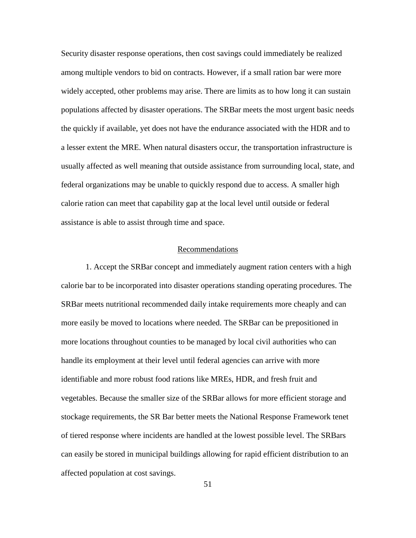Security disaster response operations, then cost savings could immediately be realized among multiple vendors to bid on contracts. However, if a small ration bar were more widely accepted, other problems may arise. There are limits as to how long it can sustain populations affected by disaster operations. The SRBar meets the most urgent basic needs the quickly if available, yet does not have the endurance associated with the HDR and to a lesser extent the MRE. When natural disasters occur, the transportation infrastructure is usually affected as well meaning that outside assistance from surrounding local, state, and federal organizations may be unable to quickly respond due to access. A smaller high calorie ration can meet that capability gap at the local level until outside or federal assistance is able to assist through time and space.

## Recommendations

1. Accept the SRBar concept and immediately augment ration centers with a high calorie bar to be incorporated into disaster operations standing operating procedures. The SRBar meets nutritional recommended daily intake requirements more cheaply and can more easily be moved to locations where needed. The SRBar can be prepositioned in more locations throughout counties to be managed by local civil authorities who can handle its employment at their level until federal agencies can arrive with more identifiable and more robust food rations like MREs, HDR, and fresh fruit and vegetables. Because the smaller size of the SRBar allows for more efficient storage and stockage requirements, the SR Bar better meets the National Response Framework tenet of tiered response where incidents are handled at the lowest possible level. The SRBars can easily be stored in municipal buildings allowing for rapid efficient distribution to an affected population at cost savings.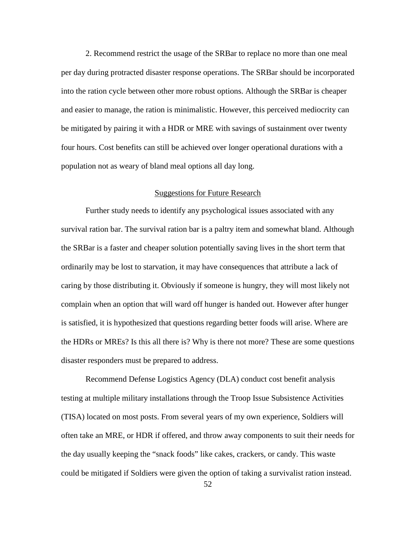2. Recommend restrict the usage of the SRBar to replace no more than one meal per day during protracted disaster response operations. The SRBar should be incorporated into the ration cycle between other more robust options. Although the SRBar is cheaper and easier to manage, the ration is minimalistic. However, this perceived mediocrity can be mitigated by pairing it with a HDR or MRE with savings of sustainment over twenty four hours. Cost benefits can still be achieved over longer operational durations with a population not as weary of bland meal options all day long.

## Suggestions for Future Research

Further study needs to identify any psychological issues associated with any survival ration bar. The survival ration bar is a paltry item and somewhat bland. Although the SRBar is a faster and cheaper solution potentially saving lives in the short term that ordinarily may be lost to starvation, it may have consequences that attribute a lack of caring by those distributing it. Obviously if someone is hungry, they will most likely not complain when an option that will ward off hunger is handed out. However after hunger is satisfied, it is hypothesized that questions regarding better foods will arise. Where are the HDRs or MREs? Is this all there is? Why is there not more? These are some questions disaster responders must be prepared to address.

Recommend Defense Logistics Agency (DLA) conduct cost benefit analysis testing at multiple military installations through the Troop Issue Subsistence Activities (TISA) located on most posts. From several years of my own experience, Soldiers will often take an MRE, or HDR if offered, and throw away components to suit their needs for the day usually keeping the "snack foods" like cakes, crackers, or candy. This waste could be mitigated if Soldiers were given the option of taking a survivalist ration instead.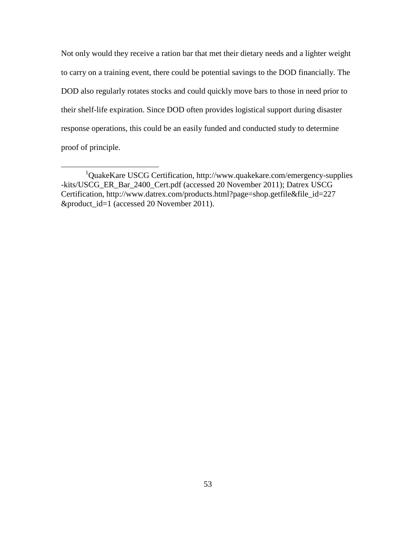Not only would they receive a ration bar that met their dietary needs and a lighter weight to carry on a training event, there could be potential savings to the DOD financially. The DOD also regularly rotates stocks and could quickly move bars to those in need prior to their shelf-life expiration. Since DOD often provides logistical support during disaster response operations, this could be an easily funded and conducted study to determine proof of principle.

<sup>&</sup>lt;u>1</u> <sup>1</sup>QuakeKare USCG Certification, http://www.quakekare.com/emergency-supplies -kits/USCG\_ER\_Bar\_2400\_Cert.pdf (accessed 20 November 2011); Datrex USCG Certification, http://www.datrex.com/products.html?page=shop.getfile&file\_id=227 &product\_id=1 (accessed 20 November 2011).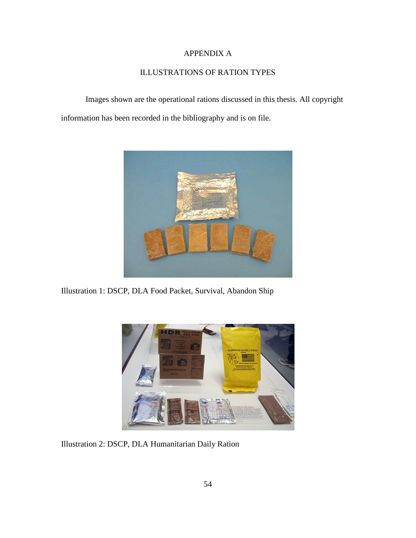# APPENDIX A

# ILLUSTRATIONS OF RATION TYPES

Images shown are the operational rations discussed in this thesis. All copyright information has been recorded in the bibliography and is on file.



Illustration 1: DSCP, DLA Food Packet, Survival, Abandon Ship



Illustration 2: DSCP, DLA Humanitarian Daily Ration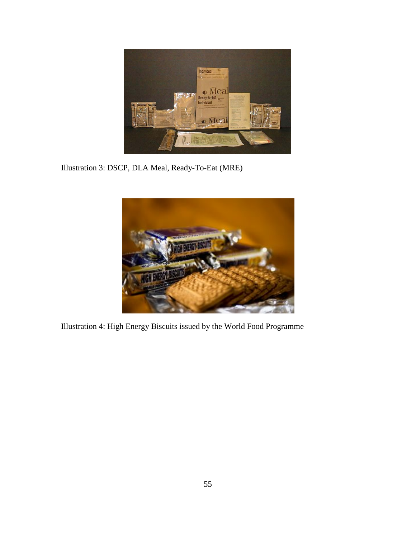

Illustration 3: DSCP, DLA Meal, Ready-To-Eat (MRE)



Illustration 4: High Energy Biscuits issued by the World Food Programme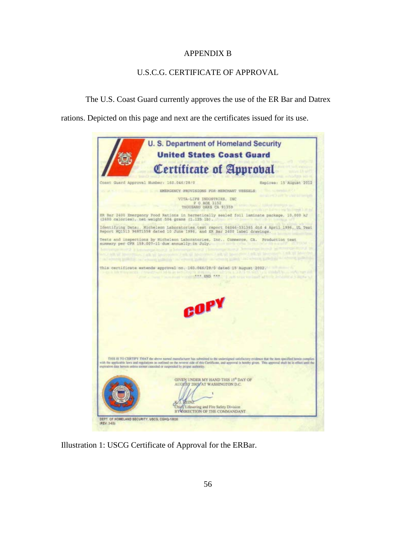# APPENDIX B

# U.S.C.G. CERTIFICATE OF APPROVAL

The U.S. Coast Guard currently approves the use of the ER Bar and Datrex

rations. Depicted on this page and next are the certificates issued for its use.



Illustration 1: USCG Certificate of Approval for the ERBar.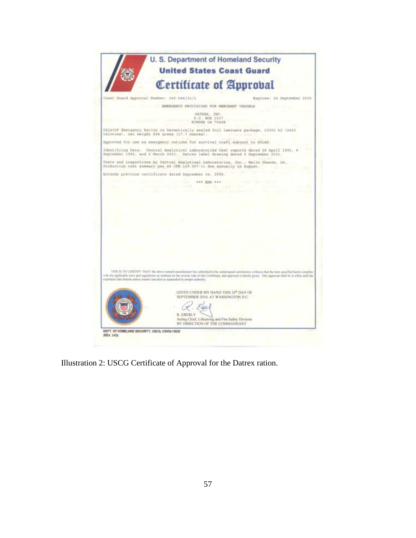|                                                                                  | <b>United States Coast Guard</b>                                                                                                                                       |
|----------------------------------------------------------------------------------|------------------------------------------------------------------------------------------------------------------------------------------------------------------------|
|                                                                                  |                                                                                                                                                                        |
|                                                                                  | Certificate of Approbal                                                                                                                                                |
| Coast Guard Approval Mumber: 160.046/21/1                                        | Expires: 24 September 2015                                                                                                                                             |
|                                                                                  | EMERGRECY PROVISIONS FOR MERCHANT VESSELS                                                                                                                              |
|                                                                                  | DATREX, INC.<br>P.O. BOX 1537<br>KINDER LA 70448                                                                                                                       |
| calories), net weight 504 grams (17.7 ounces),                                   | DX2400F Emergency Ration in hermstically sealed foil laminate package, 10000 kJ (2400                                                                                  |
| Approved for use as energency rations for survival craft subject to SOLAS.       |                                                                                                                                                                        |
| September 1990, and 2 March 2001. Datrex label drawing dated 5 September 2001.   | Identifying Data: Central Analytical Laboratories test reports dated 26 April 1990, 9                                                                                  |
| Production test summary per 46 CFR 159.007-11 due annually in August.            | Tests and inspections by Central Analytical Laboratories, Inc., Belle Chasse, LA.                                                                                      |
| Extends previous certificate dated September 24, 2005.                           |                                                                                                                                                                        |
|                                                                                  | <b>RAA (CNT) ###</b><br>the China conducts of the                                                                                                                      |
|                                                                                  |                                                                                                                                                                        |
|                                                                                  |                                                                                                                                                                        |
|                                                                                  |                                                                                                                                                                        |
|                                                                                  |                                                                                                                                                                        |
|                                                                                  |                                                                                                                                                                        |
|                                                                                  |                                                                                                                                                                        |
|                                                                                  |                                                                                                                                                                        |
|                                                                                  |                                                                                                                                                                        |
|                                                                                  |                                                                                                                                                                        |
|                                                                                  |                                                                                                                                                                        |
|                                                                                  |                                                                                                                                                                        |
|                                                                                  |                                                                                                                                                                        |
|                                                                                  |                                                                                                                                                                        |
|                                                                                  |                                                                                                                                                                        |
|                                                                                  | THIS IS TO CERTIFY THAT the above named manufacturer has submitted to the undersigned satisfactory avidance that the item specified hands annuplies                    |
| explosition date hereon unless sooner canceled or suspended by proper authority. | with the applicable laws and regulations as outlined on the reverse side of this Certificate, and approval is hereby given. This approval shall be to effect antil the |
|                                                                                  |                                                                                                                                                                        |
|                                                                                  | GIVEN UNDER MY HAND THIS 24 <sup>®</sup> DAY OF                                                                                                                        |
|                                                                                  | SEPTEMBER 2010, AT WASHINGTON D.C.                                                                                                                                     |
|                                                                                  |                                                                                                                                                                        |
|                                                                                  |                                                                                                                                                                        |
| <b>R. EBERLY</b>                                                                 |                                                                                                                                                                        |
|                                                                                  | Acting Chief, Lifesaving and Fire Safety Division                                                                                                                      |
|                                                                                  | BY DIRECTION OF THE COMMANDANT                                                                                                                                         |

Illustration 2: USCG Certificate of Approval for the Datrex ration.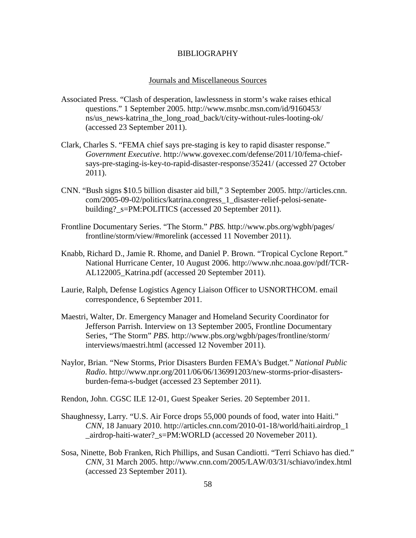#### BIBLIOGRAPHY

#### Journals and Miscellaneous Sources

- Associated Press. "Clash of desperation, lawlessness in storm's wake raises ethical questions." 1 September 2005. http://www.msnbc.msn.com/id/9160453/ ns/us\_news-katrina\_the\_long\_road\_back/t/city-without-rules-looting-ok/ (accessed 23 September 2011).
- Clark, Charles S. "FEMA chief says pre-staging is key to rapid disaster response." *Government Executive*. http://www.govexec.com/defense/2011/10/fema-chiefsays-pre-staging-is-key-to-rapid-disaster-response/35241/ (accessed 27 October 2011).
- CNN. "Bush signs \$10.5 billion disaster aid bill," 3 September 2005. http://articles.cnn. com/2005-09-02/politics/katrina.congress\_1\_disaster-relief-pelosi-senatebuilding?\_s=PM:POLITICS (accessed 20 September 2011).
- Frontline Documentary Series. "The Storm." *PBS.* http://www.pbs.org/wgbh/pages/ frontline/storm/view/#morelink (accessed 11 November 2011).
- Knabb, Richard D., Jamie R. Rhome, and Daniel P. Brown. "Tropical Cyclone Report." National Hurricane Center, 10 August 2006. http://www.nhc.noaa.gov/pdf/TCR-AL122005\_Katrina.pdf (accessed 20 September 2011).
- Laurie, Ralph, Defense Logistics Agency Liaison Officer to USNORTHCOM. email correspondence, 6 September 2011.
- Maestri, Walter, Dr. Emergency Manager and Homeland Security Coordinator for Jefferson Parrish. Interview on 13 September 2005, Frontline Documentary Series, "The Storm" *PBS.* [http://www.pbs.org/wgbh/pages/frontline/storm/](http://www.pbs.org/wgbh/pages/frontline/storm/interviews/maestri.html) [interviews/maestri.html](http://www.pbs.org/wgbh/pages/frontline/storm/interviews/maestri.html) (accessed 12 November 2011).
- Naylor, Brian. "New Storms, Prior Disasters Burden FEMA's Budget." *National Public Radio*. http://www.npr.org/2011/06/06/136991203/new-storms-prior-disastersburden-fema-s-budget (accessed 23 September 2011).

Rendon, John. CGSC ILE 12-01, Guest Speaker Series. 20 September 2011.

- Shaughnessy, Larry. "U.S. Air Force drops 55,000 pounds of food, water into Haiti." *CNN,* 18 January 2010. http://articles.cnn.com/2010-01-18/world/haiti.airdrop\_1 \_airdrop-haiti-water?\_s=PM:WORLD (accessed 20 Novemeber 2011).
- Sosa, Ninette, Bob Franken, Rich Phillips, and Susan Candiotti. "Terri Schiavo has died." *CNN,* 31 March 2005. http://www.cnn.com/2005/LAW/03/31/schiavo/index.html (accessed 23 September 2011).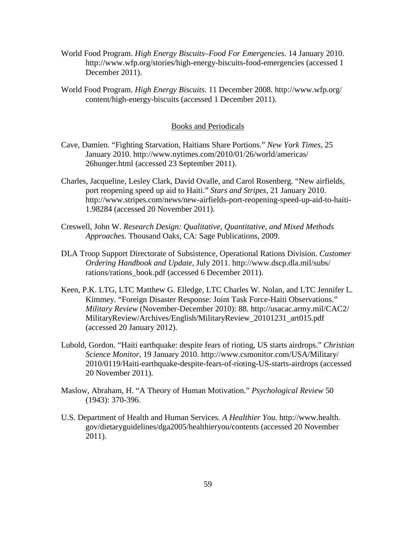- World Food Program. *High Energy Biscuits–Food For Emergencies.* 14 January 2010. http://www.wfp.org/stories/high-energy-biscuits-food-emergencies (accessed 1 December 2011).
- World Food Program. *High Energy Biscuits.* 11 December 2008. http://www.wfp.org/ content/high-energy-biscuits (accessed 1 December 2011).

#### Books and Periodicals

- Cave, Damien. "Fighting Starvation, Haitians Share Portions." *New York Times*, 25 January 2010. http://www.nytimes.com/2010/01/26/world/americas/ 26hunger.html (accessed 23 September 2011).
- Charles, Jacqueline, Lesley Clark, David Ovalle, and Carol Rosenberg. "New airfields, port reopening speed up aid to Haiti." *Stars and Stripes*, 21 January 2010. http://www.stripes.com/news/new-airfields-port-reopening-speed-up-aid-to-haiti-1.98284 (accessed 20 November 2011).
- Creswell, John W. *Research Design: Qualitative, Quantitative, and Mixed Methods Approaches.* Thousand Oaks, CA: Sage Publications, 2009.
- DLA Troop Support Directorate of Subsistence, Operational Rations Division. *Customer Ordering Handbook and Update,* July 2011. http://www.dscp.dla.mil/subs/ rations/rations\_book.pdf (accessed 6 December 2011).
- Keen, P.K. LTG, LTC Matthew G. Elledge, LTC Charles W. Nolan, and LTC Jennifer L. Kimmey. "Foreign Disaster Response: Joint Task Force-Haiti Observations." *Military Review* (November-December 2010): 88. http://usacac.army.mil/CAC2/ MilitaryReview/Archives/English/MilitaryReview\_20101231\_art015.pdf (accessed 20 January 2012).
- Lubold, Gordon. "Haiti earthquake: despite fears of rioting, US starts airdrops." *Christian Science Monitor,* 19 January 2010. http://www.csmonitor.com/USA/Military/ 2010/0119/Haiti-earthquake-despite-fears-of-rioting-US-starts-airdrops (accessed 20 November 2011).
- Maslow, Abraham, H. "A Theory of Human Motivation." *Psychological Review* 50 (1943): 370-396.
- U.S. Department of Health and Human Services. *A Healthier You.* http://www.health. gov/dietaryguidelines/dga2005/healthieryou/contents (accessed 20 November 2011).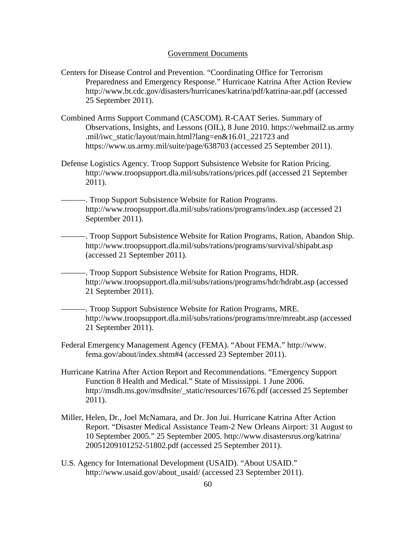#### Government Documents

- Centers for Disease Control and Prevention. "Coordinating Office for Terrorism Preparedness and Emergency Response." Hurricane Katrina After Action Review http://www.bt.cdc.gov/disasters/hurricanes/katrina/pdf/katrina-aar.pdf (accessed 25 September 2011).
- Combined Arms Support Command (CASCOM). R-CAAT Series. Summary of Observations, Insights, and Lessons (OIL), 8 June 2010. https://webmail2.us.army .mil/iwc\_static/layout/main.html?lang=en&16.01\_221723 and https://www.us.army.mil/suite/page/638703 (accessed 25 September 2011).
- Defense Logistics Agency. Troop Support Subsistence Website for Ration Pricing. http://www.troopsupport.dla.mil/subs/rations/prices.pdf (accessed 21 September 2011).
- ———. Troop Support Subsistence Website for Ration Programs. http://www.troopsupport.dla.mil/subs/rations/programs/index.asp (accessed 21 September 2011).
	- ———. Troop Support Subsistence Website for Ration Programs, Ration, Abandon Ship. http://www.troopsupport.dla.mil/subs/rations/programs/survival/shipabt.asp (accessed 21 September 2011).
	- ———. Troop Support Subsistence Website for Ration Programs, HDR. http://www.troopsupport.dla.mil/subs/rations/programs/hdr/hdrabt.asp (accessed 21 September 2011).
	- ———. Troop Support Subsistence Website for Ration Programs, MRE. http://www.troopsupport.dla.mil/subs/rations/programs/mre/mreabt.asp (accessed 21 September 2011).
- Federal Emergency Management Agency (FEMA). "About FEMA." http://www. fema.gov/about/index.shtm#4 (accessed 23 September 2011).
- Hurricane Katrina After Action Report and Recommendations. "Emergency Support Function 8 Health and Medical." State of Mississippi. 1 June 2006. http://msdh.ms.gov/msdhsite/\_static/resources/1676.pdf (accessed 25 September 2011).
- Miller, Helen, Dr., Joel McNamara, and Dr. Jon Jui. Hurricane Katrina After Action Report. "Disaster Medical Assistance Team-2 New Orleans Airport: 31 August to 10 September 2005." 25 September 2005. http://www.disastersrus.org/katrina/ 20051209101252-51802.pdf (accessed 25 September 2011).
- U.S. Agency for International Development (USAID). "About USAID." http://www.usaid.gov/about\_usaid/ (accessed 23 September 2011).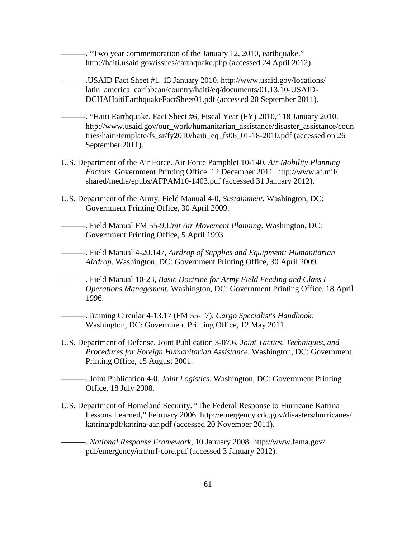———. "Two year commemoration of the January 12, 2010, earthquake." http://haiti.usaid.gov/issues/earthquake.php (accessed 24 April 2012).

———.USAID Fact Sheet #1. 13 January 2010. http://www.usaid.gov/locations/ latin\_america\_caribbean/country/haiti/eq/documents/01.13.10-USAID-DCHAHaitiEarthquakeFactSheet01.pdf (accessed 20 September 2011).

———. "Haiti Earthquake. Fact Sheet #6, Fiscal Year (FY) 2010," 18 January 2010. http://www.usaid.gov/our\_work/humanitarian\_assistance/disaster\_assistance/coun tries/haiti/template/fs\_sr/fy2010/haiti\_eq\_fs06\_01-18-2010.pdf (accessed on 26 September 2011).

- U.S. Department of the Air Force. Air Force Pamphlet 10-140, *Air Mobility Planning Factors.* Government Printing Office. 12 December 2011. http://www.af.mil/ shared/media/epubs/AFPAM10-1403.pdf (accessed 31 January 2012).
- U.S. Department of the Army. Field Manual 4-0, *Sustainment*. Washington, DC: Government Printing Office, 30 April 2009.

———. Field Manual FM 55-9,*Unit Air Movement Planning*. Washington, DC: Government Printing Office, 5 April 1993.

———. Field Manual 4-20.147*, Airdrop of Supplies and Equipment: Humanitarian Airdrop*. Washington, DC: Government Printing Office, 30 April 2009.

———. Field Manual 10-23*, Basic Doctrine for Army Field Feeding and Class I Operations Management.* Washington, DC: Government Printing Office, 18 April 1996.

———.Training Circular 4-13.17 (FM 55-17), *Cargo Specialist's Handbook.* Washington, DC: Government Printing Office, 12 May 2011.

U.S. Department of Defense. Joint Publication 3-07.6, *Joint Tactics, Techniques, and Procedures for Foreign Humanitarian Assistance*. Washington, DC: Government Printing Office, 15 August 2001.

———. Joint Publication 4-0. *Joint Logistics.* Washington, DC: Government Printing Office, 18 July 2008.

U.S. Department of Homeland Security. "The Federal Response to Hurricane Katrina Lessons Learned," February 2006. http://emergency.cdc.gov/disasters/hurricanes/ katrina/pdf/katrina-aar.pdf (accessed 20 November 2011).

———. *National Response Framework,* 10 January 2008. http://www.fema.gov/ pdf/emergency/nrf/nrf-core.pdf (accessed 3 January 2012).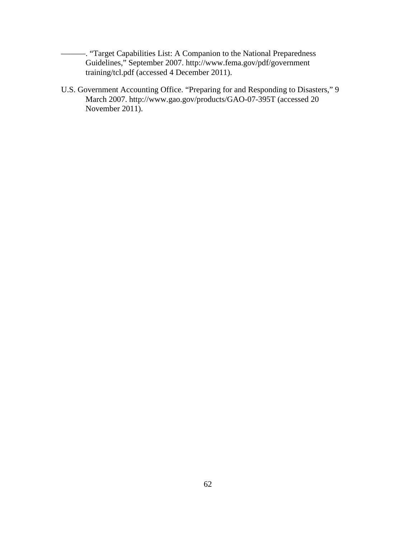———. "Target Capabilities List: A Companion to the National Preparedness Guidelines," September 2007. http://www.fema.gov/pdf/government training/tcl.pdf (accessed 4 December 2011).

U.S. Government Accounting Office. "Preparing for and Responding to Disasters," 9 March 2007. http://www.gao.gov/products/GAO-07-395T (accessed 20 November 2011).